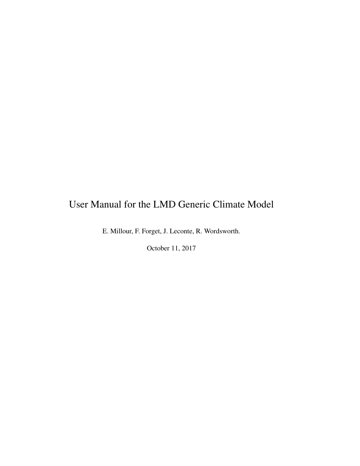# User Manual for the LMD Generic Climate Model

E. Millour, F. Forget, J. Leconte, R. Wordsworth.

October 11, 2017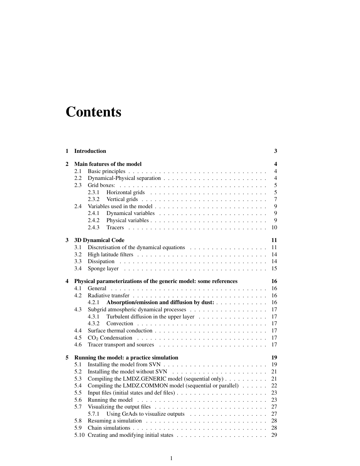# **Contents**

| 1 |      | Introduction                                                                           |                  |  |
|---|------|----------------------------------------------------------------------------------------|------------------|--|
| 2 |      | Main features of the model                                                             | $\boldsymbol{4}$ |  |
|   | 2.1  |                                                                                        | $\overline{4}$   |  |
|   | 2.2  |                                                                                        | $\overline{4}$   |  |
|   | 2.3  |                                                                                        | 5                |  |
|   |      | 2.3.1                                                                                  | 5                |  |
|   |      | 2.3.2                                                                                  | $\overline{7}$   |  |
|   | 2.4  |                                                                                        | 9                |  |
|   |      | 2.4.1                                                                                  | 9                |  |
|   |      | 2.4.2                                                                                  | 9                |  |
|   |      | 2.4.3                                                                                  | 10               |  |
| 3 |      | <b>3D Dynamical Code</b>                                                               | 11               |  |
|   | 3.1  | Discretisation of the dynamical equations $\dots \dots \dots \dots \dots \dots \dots$  | 11               |  |
|   | 3.2  |                                                                                        | 14               |  |
|   | 3.3  |                                                                                        | 14               |  |
|   | 3.4  |                                                                                        | 15               |  |
| 4 |      | Physical parameterizations of the generic model: some references                       | 16               |  |
|   | 4.1  |                                                                                        | 16               |  |
|   | 4.2. |                                                                                        | 16               |  |
|   |      | Absorption/emission and diffusion by dust:<br>4.2.1                                    | 16               |  |
|   | 4.3  |                                                                                        | 17               |  |
|   |      | Turbulent diffusion in the upper layer<br>4.3.1                                        | 17               |  |
|   |      | 4.3.2                                                                                  | 17               |  |
|   | 4.4  |                                                                                        | 17               |  |
|   | 4.5  |                                                                                        | 17               |  |
|   | 4.6  |                                                                                        | 17               |  |
| 5 |      | Running the model: a practice simulation                                               | 19               |  |
|   | 5.1  |                                                                                        | 19               |  |
|   | 5.2  | Installing the model without SVN $\ldots \ldots \ldots \ldots \ldots \ldots \ldots$    | 21               |  |
|   | 5.3  | Compiling the LMDZ.GENERIC model (sequential only)                                     | 21               |  |
|   | 5.4  | Compiling the LMDZ.COMMON model (sequential or parallel)                               | 22               |  |
|   | 5.5  |                                                                                        | 23               |  |
|   | 5.6  |                                                                                        | 23               |  |
|   | 5.7  | Visualizing the output files $\ldots \ldots \ldots \ldots \ldots \ldots \ldots \ldots$ | 27               |  |
|   |      | 5.7.1<br>Using GrAds to visualize outputs $\ldots \ldots \ldots \ldots \ldots \ldots$  | 27               |  |
|   | 5.8  |                                                                                        | 28               |  |
|   | 5.9  |                                                                                        | 28               |  |
|   |      |                                                                                        | 29               |  |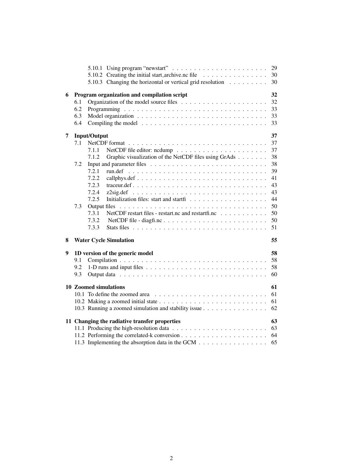|   |     |                                                                                       | 29 |
|---|-----|---------------------------------------------------------------------------------------|----|
|   |     | 5.10.2 Creating the initial start archive.nc file                                     | 30 |
|   |     | 5.10.3 Changing the horizontal or vertical grid resolution                            | 30 |
| 6 |     | Program organization and compilation script                                           | 32 |
|   | 6.1 |                                                                                       | 32 |
|   | 6.2 |                                                                                       | 33 |
|   | 6.3 |                                                                                       | 33 |
|   | 6.4 | Compiling the model $\ldots \ldots \ldots \ldots \ldots \ldots \ldots \ldots \ldots$  | 33 |
| 7 |     | <b>Input/Output</b>                                                                   | 37 |
|   | 7.1 | NetCDF format $\ldots \ldots \ldots \ldots \ldots \ldots \ldots \ldots \ldots \ldots$ | 37 |
|   |     | 7.1.1                                                                                 | 37 |
|   |     | Graphic visualization of the NetCDF files using GrAds<br>7.1.2                        | 38 |
|   | 7.2 |                                                                                       | 38 |
|   |     | 7.2.1                                                                                 | 39 |
|   |     | 7.2.2                                                                                 | 41 |
|   |     | 7.2.3                                                                                 | 43 |
|   |     | 7.2.4                                                                                 | 43 |
|   |     | 7.2.5                                                                                 | 44 |
|   | 7.3 | Output files                                                                          | 50 |
|   |     | 7.3.1<br>NetCDF restart files - restart.nc and restartfi.nc                           | 50 |
|   |     | 7.3.2                                                                                 | 50 |
|   |     | 7.3.3                                                                                 | 51 |
| 8 |     | <b>Water Cycle Simulation</b>                                                         | 55 |
|   |     |                                                                                       |    |
| 9 |     | 1D version of the generic model                                                       | 58 |
|   | 9.1 |                                                                                       | 58 |
|   | 9.2 |                                                                                       | 58 |
|   | 9.3 |                                                                                       | 60 |
|   |     | 10 Zoomed simulations                                                                 | 61 |
|   |     |                                                                                       | 61 |
|   |     |                                                                                       | 61 |
|   |     | 10.3 Running a zoomed simulation and stability issue                                  | 62 |
|   |     | 11 Changing the radiative transfer properties                                         | 63 |
|   |     |                                                                                       | 63 |
|   |     |                                                                                       | 64 |
|   |     | 11.3 Implementing the absorption data in the GCM                                      | 65 |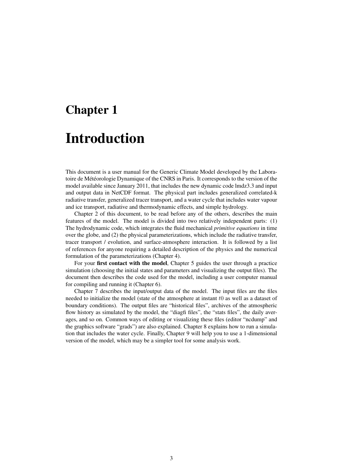# Chapter 1 Introduction

This document is a user manual for the Generic Climate Model developed by the Laboratoire de Météorologie Dynamique of the CNRS in Paris. It corresponds to the version of the model available since January 2011, that includes the new dynamic code lmdz3.3 and input and output data in NetCDF format. The physical part includes generalized correlated-k radiative transfer, generalized tracer transport, and a water cycle that includes water vapour and ice transport, radiative and thermodynamic effects, and simple hydrology.

Chapter 2 of this document, to be read before any of the others, describes the main features of the model. The model is divided into two relatively independent parts: (1) The hydrodynamic code, which integrates the fluid mechanical *primitive equations* in time over the globe, and (2) the physical parameterizations, which include the radiative transfer, tracer transport / evolution, and surface-atmosphere interaction. It is followed by a list of references for anyone requiring a detailed description of the physics and the numerical formulation of the parameterizations (Chapter 4).

For your first contact with the model, Chapter 5 guides the user through a practice simulation (choosing the initial states and parameters and visualizing the output files). The document then describes the code used for the model, including a user computer manual for compiling and running it (Chapter 6).

Chapter 7 describes the input/output data of the model. The input files are the files needed to initialize the model (state of the atmosphere at instant  $t0$  as well as a dataset of boundary conditions). The output files are "historical files", archives of the atmospheric flow history as simulated by the model, the "diagfi files", the "stats files", the daily averages, and so on. Common ways of editing or visualizing these files (editor "ncdump" and the graphics software "grads") are also explained. Chapter 8 explains how to run a simulation that includes the water cycle. Finally, Chapter 9 will help you to use a 1-dimensional version of the model, which may be a simpler tool for some analysis work.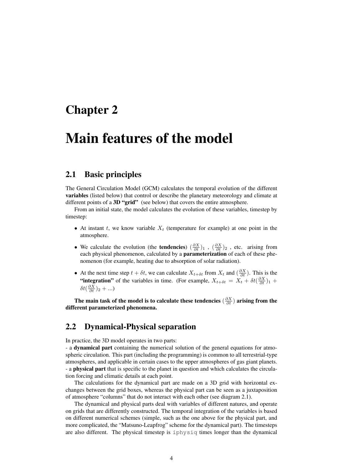## Chapter 2

# Main features of the model

## 2.1 Basic principles

The General Circulation Model (GCM) calculates the temporal evolution of the different variables (listed below) that control or describe the planetary meteorology and climate at different points of a 3D "grid" (see below) that covers the entire atmosphere.

From an initial state, the model calculates the evolution of these variables, timestep by timestep:

- At instant t, we know variable  $X_t$  (temperature for example) at one point in the atmosphere.
- We calculate the evolution (the **tendencies**)  $(\frac{\partial X}{\partial t})_1$ ,  $(\frac{\partial X}{\partial t})_2$ , etc. arising from each physical phenomenon, calculated by a **parameterization** of each of these phenomenon (for example, heating due to absorption of solar radiation).
- At the next time step  $t + \delta t$ , we can calculate  $X_{t+\delta t}$  from  $X_t$  and  $\left(\frac{\partial X}{\partial t}\right)$ . This is the "integration" of the variables in time. (For example,  $X_{t+\delta t} = X_t + \delta t (\frac{\partial X}{\partial t})_1 +$  $\delta t(\frac{\partial X}{\partial t})_2 + ...$

The main task of the model is to calculate these tendencies  $(\frac{\partial X}{\partial t})$  arising from the different parameterized phenomena.

## 2.2 Dynamical-Physical separation

In practice, the 3D model operates in two parts:

- a dynamical part containing the numerical solution of the general equations for atmospheric circulation. This part (including the programming) is common to all terrestrial-type atmospheres, and applicable in certain cases to the upper atmospheres of gas giant planets. - a physical part that is specific to the planet in question and which calculates the circulation forcing and climatic details at each point.

The calculations for the dynamical part are made on a 3D grid with horizontal exchanges between the grid boxes, whereas the physical part can be seen as a juxtaposition of atmosphere "columns" that do not interact with each other (see diagram 2.1).

The dynamical and physical parts deal with variables of different natures, and operate on grids that are differently constructed. The temporal integration of the variables is based on different numerical schemes (simple, such as the one above for the physical part, and more complicated, the "Matsuno-Leapfrog" scheme for the dynamical part). The timesteps are also different. The physical timestep is iphysiq times longer than the dynamical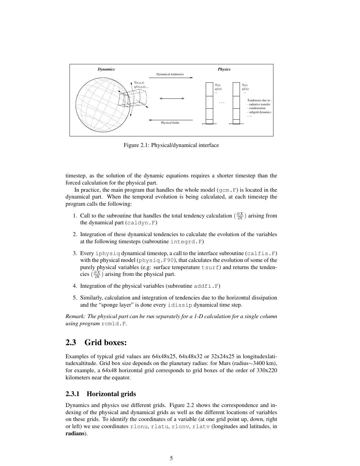

Figure 2.1: Physical/dynamical interface

timestep, as the solution of the dynamic equations requires a shorter timestep than the forced calculation for the physical part.

In practice, the main program that handles the whole model ( $gcm.F$ ) is located in the dynamical part. When the temporal evolution is being calculated, at each timestep the program calls the following:

- the dynamical part (caldyn.F) 1. Call to the subroutine that handles the total tendency calculation  $\left(\frac{\partial X}{\partial t}\right)$  arising from
- at the following timesteps (subroutine integrd.F) 2. Integration of these dynamical tendencies to calculate the evolution of the variables
- with the physical model ( $physiq.F90$ ), that calculates the evolution of some of the cies ( $\frac{\partial X}{\partial t}$ ) arising from the physical part. 3. Every iphysiq dynamical timestep, a call to the interface subroutine (calfis.F) purely physical variables (e.g: surface temperature tsurf) and returns the tenden-
- 4. Integration of the physical variables (subroutine  $addfi$ ,  $F$ )
- and the "sponge layer" is done every idissip dynamical time step. 5. Similarly, calculation and integration of tendencies due to the horizontal dissipation

*Remark: The physical part can be run separately for a 1-D calculation for a single column* wing program rcm1d.F.

## $2.3$  Grid boxes:

Examples of typical grid values are  $64x48x25$ ,  $64x48x32$  or  $32x24x25$  in longitudexlatitudexaltitude. Grid box size depends on the planetary radius: for Mars (radius∼3400 km), for example, a 64x48 horizontal grid corresponds to grid boxes of the order of 330x220 kilometers near the equator.

### 2.3.1 Horizontal grids **considered example atmosphere (or the Martia**

Dynamics and physics use different grids. Figure 2.2 shows the correspondence and indexing of the physical and dynamical grids as well as the different locations of variables also called the called tracers of the called tracers of the called tracers of the called tracers of the called on these grids. To identify the coordinates of a variable (at one grid point up, down, right or left) we use coordinates rlonu, rlatu, rlonv, rlatv (longitudes and latitudes, in radians).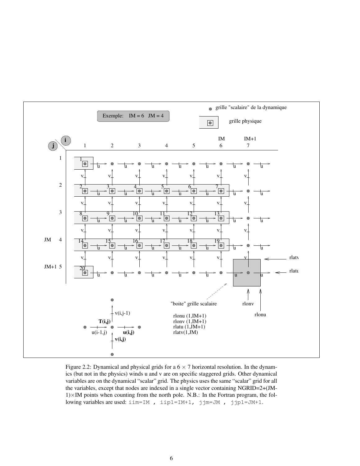

Figure 2.2: Dynamical and physical grids for a  $6 \times 7$  horizontal resolution. In the dynamics (but not in the physics) winds u and v are on specific staggered grids. Other dynamical variables are on the dynamical "scalar" grid. The physics uses the same "scalar" grid for all the variables, except that nodes are indexed in a single vector containing NGRID=2+(JM- $1)\times$ IM points when counting from the north pole. N.B.: In the Fortran program, the following variables are used: iim=IM , iip1=IM+1, jjm=JM , jjp1=JM+1.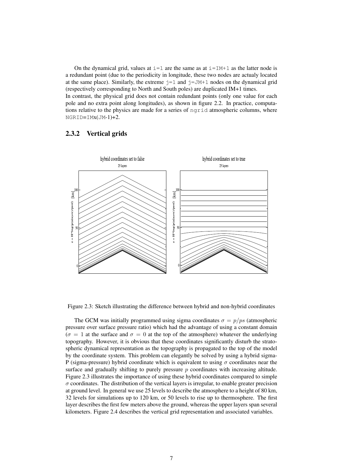On the dynamical grid, values at  $i=1$  are the same as at  $i=IM+1$  as the latter node is a redundant point (due to the periodicity in longitude, these two nodes are actualy located at the same place). Similarly, the extreme  $\dot{\tau}=1$  and  $\dot{\tau}=\dot{\tau}$  nodes on the dynamical grid (respectively corresponding to North and South poles) are duplicated IM+1 times. In contrast, the physical grid does not contain redundant points (only one value for each pole and no extra point along longitudes), as shown in figure 2.2. In practice, computations relative to the physics are made for a series of ngrid atmospheric columns, where NGRID=IMx(JM-1)+2.

### 2.3.2 Vertical grids



Figure 2.3: Sketch illustrating the difference between hybrid and non-hybrid coordinates

The GCM was initially programmed using sigma coordinates  $\sigma = p/ps$  (atmospheric pressure over surface pressure ratio) which had the advantage of using a constant domain  $(\sigma = 1$  at the surface and  $\sigma = 0$  at the top of the atmosphere) whatever the underlying topography. However, it is obvious that these coordinates significantly disturb the stratospheric dynamical representation as the topography is propagated to the top of the model by the coordinate system. This problem can elegantly be solved by using a hybrid sigma-P (sigma-pressure) hybrid coordinate which is equivalent to using  $\sigma$  coordinates near the surface and gradually shifting to purely pressure  $p$  coordinates with increasing altitude. Figure 2.3 illustrates the importance of using these hybrid coordinates compared to simple  $\sigma$  coordinates. The distribution of the vertical layers is irregular, to enable greater precision at ground level. In general we use 25 levels to describe the atmosphere to a height of 80 km, 32 levels for simulations up to 120 km, or 50 levels to rise up to thermosphere. The first layer describes the first few meters above the ground, whereas the upper layers span several kilometers. Figure 2.4 describes the vertical grid representation and associated variables.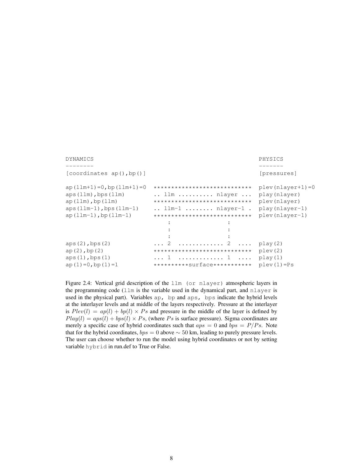| DYNAMICS                                                                                                                                            |                                                                                                                                                                                                 | PHYSICS                                                                                       |  |
|-----------------------------------------------------------------------------------------------------------------------------------------------------|-------------------------------------------------------------------------------------------------------------------------------------------------------------------------------------------------|-----------------------------------------------------------------------------------------------|--|
| [coordinates ap(), bp()]                                                                                                                            |                                                                                                                                                                                                 | [pressures]                                                                                   |  |
| $ap(11m+1)=0$ , bp $(11m+1)=0$<br>$aps(llm)$ , bps $(llm)$<br>$ap(11m)$ , bp $(11m)$<br>aps $(llm-1)$ , bps $(llm-1)$<br>$ap(11m-1)$ , bp $(11m-1)$ | ****************************<br>$\ldots$ llm $\ldots \ldots \ldots$ nlayer $\ldots$<br>****************************<br>$\ldots$ llm-1 $\ldots \ldots$ nlayer-1.<br>**************************** | $\n  plex (nlayer+1)=0\n$<br>play(nlayer)<br>plev(nlayer)<br>play(nlayer-1)<br>plev(nlayer-1) |  |
| $aps(2)$ , bps $(2)$<br>$ap(2)$ , bp $(2)$<br>$aps(1)$ , bps $(1)$<br>$ap(1)=0$ , bp $(1)=1$                                                        | $\cdots$ 2<br>. 2<br>****************************<br>$\dots$ 1  1<br>**********Surface***********                                                                                               | play(2)<br>$\nu$ lev $(2)$<br>play(1)<br>$plex(1)=Ps$                                         |  |

Figure 2.4: Vertical grid description of the llm (or nlayer) atmospheric layers in the programming code (llm is the variable used in the dynamical part, and nlayer is used in the physical part). Variables ap, bp and aps, bps indicate the hybrid levels at the interlayer levels and at middle of the layers respectively. Pressure at the interlayer is  $Plev(l) = ap(l) + bp(l) \times Ps$  and pressure in the middle of the layer is defined by  $Play(l) = aps(l) + bps(l) \times Ps$ , (where Ps is surface pressure). Sigma coordinates are merely a specific case of hybrid coordinates such that  $aps = 0$  and  $bps = P/Ps$ . Note that for the hybrid coordinates,  $bps = 0$  above  $\sim 50$  km, leading to purely pressure levels. The user can choose whether to run the model using hybrid coordinates or not by setting variable hybrid in run.def to True or False.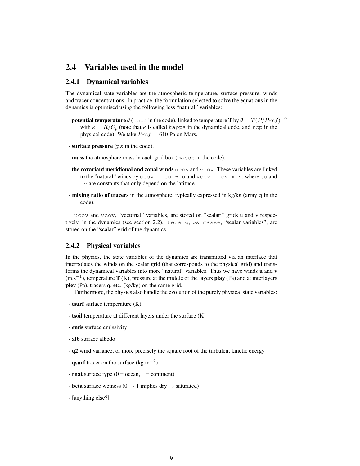## 2.4 Variables used in the model

### 2.4.1 Dynamical variables

The dynamical state variables are the atmospheric temperature, surface pressure, winds and tracer concentrations. In practice, the formulation selected to solve the equations in the dynamics is optimised using the following less "natural" variables:

- potential temperature  $\theta$  (teta in the code), linked to temperature T by  $\theta = T(P/Pref)^{-\kappa}$ with  $\kappa = R/C_p$  (note that  $\kappa$  is called kappa in the dynamical code, and rcp in the physical code). We take  $Pref = 610$  Pa on Mars.
- surface pressure (ps in the code).
- mass the atmosphere mass in each grid box (masse in the code).
- the covariant meridional and zonal winds  $ucov$  and  $vcov$ . These variables are linked to the "natural" winds by ucov = cu  $\star$  u and vcov = cv  $\star$  v, where cu and cv are constants that only depend on the latitude.
- **mixing ratio of tracers** in the atmosphere, typically expressed in kg/kg (array  $\alpha$  in the code).

ucov and vcov, "vectorial" variables, are stored on "scalari" grids u and v respectively, in the dynamics (see section 2.2). teta, q, ps, masse, "scalar variables", are stored on the "scalar" grid of the dynamics.

### 2.4.2 Physical variables

In the physics, the state variables of the dynamics are transmitted via an interface that interpolates the winds on the scalar grid (that corresponds to the physical grid) and transforms the dynamical variables into more "natural" variables. Thus we have winds  $\bf{u}$  and  $\bf{v}$  $(m.s^{-1})$ , temperature T (K), pressure at the middle of the layers **play** (Pa) and at interlayers plev (Pa), tracers q, etc. (kg/kg) on the same grid.

Furthermore, the physics also handle the evolution of the purely physical state variables:

- tsurf surface temperature (K)
- tsoil temperature at different layers under the surface (K)
- emis surface emissivity
- alb surface albedo
- q2 wind variance, or more precisely the square root of the turbulent kinetic energy
- qsurf tracer on the surface  $(kg.m^{-2})$
- **rnat** surface type  $(0 = ocean, 1 = continent)$
- **beta** surface wetness ( $0 \rightarrow 1$  implies dry  $\rightarrow$  saturated)
- [anything else?]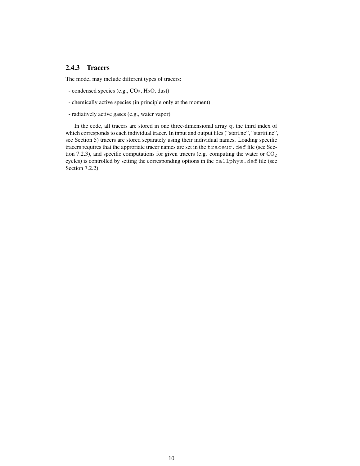### 2.4.3 Tracers

The model may include different types of tracers:

- condensed species (e.g.,  $CO<sub>2</sub>$ ,  $H<sub>2</sub>O$ , dust)
- chemically active species (in principle only at the moment)
- radiatively active gases (e.g., water vapor)

In the code, all tracers are stored in one three-dimensional array q, the third index of which corresponds to each individual tracer. In input and output files ("start.nc", "startfi.nc", see Section 5) tracers are stored separately using their individual names. Loading specific tracers requires that the approriate tracer names are set in the traceur.def file (see Section 7.2.3), and specific computations for given tracers (e.g. computing the water or  $CO<sub>2</sub>$ cycles) is controlled by setting the corresponding options in the callphys.def file (see Section 7.2.2).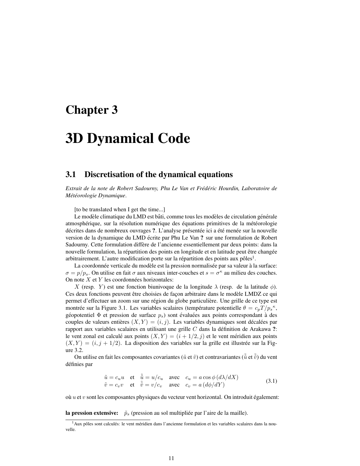# Chapter 3

# 3D Dynamical Code

### 3.1 Discretisation of the dynamical equations

*Extrait de la note de Robert Sadourny, Phu Le Van et Fred´ eric Hourdin, Laboratoire de ´ Met´ eorologie Dynamique ´* .

[to be translated when I get the time...]

Le modèle climatique du LMD est bâti, comme tous les modèles de circulation générale atmosphérique, sur la résolution numérique des équations primitives de la météorologie décrites dans de nombreux ouvrages ?. L'analyse présentée ici a été menée sur la nouvelle version de la dynamique du LMD écrite par Phu Le Van? sur une formulation de Robert Sadourny. Cette formulation differe de l'ancienne essentiellement par deux points: dans la ` nouvelle formulation, la répartition des points en longitude et en latitude peut être changée arbitrairement. L'autre modification porte sur la répartition des points aux pôles<sup>1</sup>.

La coordonnée verticale du modèle est la pression normalisée par sa valeur à la surface:  $\sigma = p/p_s$ . On utilise en fait  $\sigma$  aux niveaux inter-couches et  $s = \sigma^{\kappa}$  au milieu des couches. On note  $X$  et  $Y$  les coordonnées horizontales:

X (resp. Y) est une fonction biunivoque de la longitude  $\lambda$  (resp. de la latitude  $\phi$ ). Ces deux fonctions peuvent être choisies de façon arbitraire dans le modèle LMDZ ce qui permet d'effectuer un zoom sur une région du globe particulière. Une grille de ce type est montrée sur la Figure 3.1. Les variables scalaires (température potentielle  $\theta = c_p T / p_s^{\kappa}$ , géopotentiel  $\Phi$  et pression de surface  $p_s$ ) sont évaluées aux points correspondant à des couples de valeurs entières  $(X, Y) = (i, j)$ . Les variables dynamiques sont décalées par rapport aux variables scalaires en utilisant une grille  $C$  dans la définition de Arakawa ?: le vent zonal est calculé aux points  $(X, Y) = (i + 1/2, j)$  et le vent méridien aux points  $(X, Y) = (i, j + 1/2)$ . La disposition des variables sur la grille est illustrée sur la Figure 3.2.

On utilise en fait les composantes covariantes ( $\tilde{u}$  et  $\tilde{v}$ ) et contravariantes ( $\tilde{u}$  et  $\tilde{v}$ ) du vent definies par ´

$$
\begin{array}{ll}\n\tilde{u} = c_u u & \text{et} \quad \tilde{\tilde{u}} = u/c_u \quad \text{avec} \quad c_u = a \cos \phi \left( \frac{d\lambda}{dX} \right) \\
\tilde{v} = c_v v & \text{et} \quad \tilde{\tilde{v}} = v/c_v \quad \text{avec} \quad c_v = a \left( \frac{d\phi}{dY} \right)\n\end{array} \tag{3.1}
$$

où  $u$  et  $v$  sont les composantes physiques du vecteur vent horizontal. On introduit également:

la pression extensive:  $\tilde{p}_s$  (pression au sol multipliée par l'aire de la maille).

 $<sup>1</sup>$ Aux pôles sont calculés: le vent méridien dans l'ancienne formulation et les variables scalaires dans la nou-</sup> velle.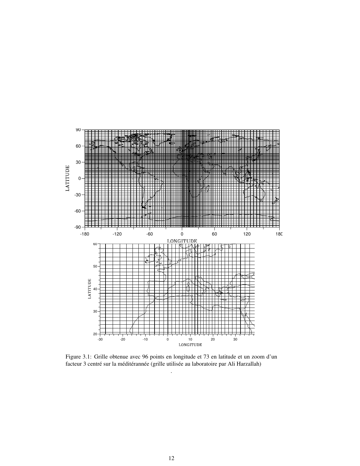

Figure 3.1: Grille obtenue avec 96 points en longitude et 73 en latitude et un zoom d'un facteur 3 centré sur la méditérannée (grille utilisée au laboratoire par Ali Harzallah) .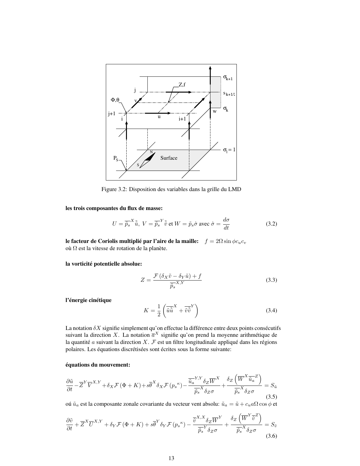

Figure 3.2: Disposition des variables dans la grille du LMD

les trois composantes du flux de masse:

$$
U = \overline{\tilde{p}_s}^X \tilde{\tilde{u}}, \ V = \overline{\tilde{p}_s}^Y \tilde{\tilde{v}} \text{ et } W = \tilde{p}_s \dot{\sigma} \text{ avec } \dot{\sigma} = \frac{d\sigma}{dt}
$$
(3.2)

le facteur de Coriolis multiplié par l'aire de la maille:  $f = 2\Omega \sin \phi c_u c_v$ où  $\Omega$  est la vitesse de rotation de la planète.

la vorticité potentielle absolue:

$$
Z = \frac{\mathcal{F}\left(\delta_X \tilde{v} - \delta_Y \tilde{u}\right) + f}{\overline{\tilde{p}_s}^{X,Y}}\tag{3.3}
$$

l'énergie cinétique

$$
K = \frac{1}{2} \left( \tilde{u}\tilde{\tilde{u}}^X + \tilde{v}\tilde{\tilde{v}}^Y \right) \tag{3.4}
$$

La notation  $\delta X$  signifie simplement qu'on effectue la différence entre deux points consécutifs suivant la direction X. La notation  $\overline{a}^X$  signifie qu'on prend la moyenne arithmétique de la quantité  $a$  suivant la direction  $X$ .  $\mathcal F$  est un filtre longitudinale appliqué dans les régions polaires. Les équations discrétisées sont écrites sous la forme suivante:

### equations du mouvement: ´

$$
\frac{\partial \tilde{u}}{\partial t} - \overline{Z}^{Y} \overline{V}^{X,Y} + \delta_{X} \mathcal{F} \left( \Phi + K \right) + s \overline{\theta}^{X} \delta_{X} \mathcal{F} \left( p_{s}^{\ \kappa} \right) - \frac{\overline{\tilde{u}_{a}}^{Y,Y} \delta_{Z} \overline{W}^{X}}{\overline{\tilde{p}_{s}}^{X} \delta_{Z} \sigma} + \frac{\delta_{Z} \left( \overline{W}^{X} \overline{\tilde{u}_{a}}^{Z} \right)}{\overline{\tilde{p}_{s}}^{X} \delta_{Z} \sigma} = S_{\tilde{u}} \tag{3.5}
$$

oú  $\tilde u_a$  est la composante zonale covariante du vecteur vent absolu:  $\tilde u_a = \tilde u + c_u a \Omega \cos \phi$ et

$$
\frac{\partial \tilde{v}}{\partial t} + \overline{Z}^X \overline{U}^{X,Y} + \delta_Y \mathcal{F} \left( \Phi + K \right) + s \overline{\theta}^Y \delta_Y \mathcal{F} \left( p_s^{\kappa} \right) - \frac{\overline{\tilde{v}}^{X,X} \delta_Z \overline{W}^Y}{\overline{\tilde{p}_s}^Y \delta_Z \sigma} + \frac{\delta_Z \left( \overline{W}^Y \overline{\tilde{v}}^Z \right)}{\overline{\tilde{p}_s}^X \delta_Z \sigma} = S_{\tilde{v}} \tag{3.6}
$$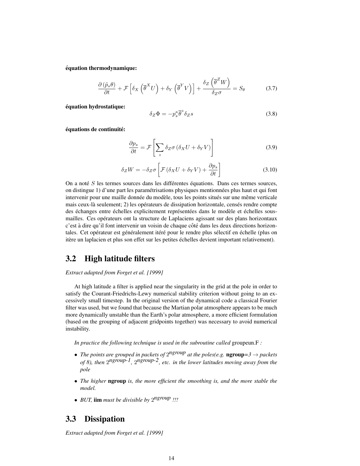equation thermodynamique: ´

$$
\frac{\partial \left(\tilde{p}_{s}\theta\right)}{\partial t} + \mathcal{F}\left[\delta_{X}\left(\overline{\theta}^{X}U\right) + \delta_{Y}\left(\overline{\theta}^{Y}V\right)\right] + \frac{\delta_{Z}\left(\overline{\theta}^{Z}W\right)}{\delta_{Z}\sigma} = S_{\theta}
$$
\n(3.7)

equation hydrostatique: ´

$$
\delta_Z \Phi = -p_s^{\kappa} \overline{\theta}^z \delta_Z s \tag{3.8}
$$

équations de continuité:

$$
\frac{\partial p_s}{\partial t} = \mathcal{F} \left[ \sum_z \delta_Z \sigma \left( \delta_X U + \delta_Y V \right) \right]
$$
 (3.9)

$$
\delta_Z W = -\delta_Z \sigma \left[ \mathcal{F} \left( \delta_X U + \delta_Y V \right) + \frac{\partial p_s}{\partial t} \right] \tag{3.10}
$$

On a noté  $S$  les termes sources dans les différentes équations. Dans ces termes sources, on distingue 1) d'une part les paramétrisations physiques mentionnées plus haut et qui font intervenir pour une maille donnée du modèle, tous les points situés sur une même verticale mais ceux-là seulement; 2) les opérateurs de dissipation horizontale, censés rendre compte des échanges entre échelles explicitement représentées dans le modèle et échelles sousmailles. Ces operateurs ont la structure de Laplaciens agissant sur des plans horizontaux ´ c'est à dire qu'il font intervenir un voisin de chaque côté dans les deux directions horizontales. Cet opérateur est généralement itéré pour le rendre plus sélectif en échelle (plus on itère un laplacien et plus son effet sur les petites échelles devient important relativement).

### 3.2 High latitude filters

### *Extract adapted from Forget et al. [1999]*

At high latitude a filter is applied near the singularity in the grid at the pole in order to satisfy the Courant-Friedrichs-Lewy numerical stability criterion without going to an excessively small timestep. In the original version of the dynamical code a classical Fourier filter was used, but we found that because the Martian polar atmosphere appears to be much more dynamically unstable than the Earth's polar atmosphere, a more efficient formulation (based on the grouping of adjacent gridpoints together) was necessary to avoid numerical instability.

*In practice the following technique is used in the subroutine called* groupeun.F *:*

- The points are grouped in packets of  $2^{n}$ <sup>*group*</sup> at the poles(e.g. **ngroup**=3  $\rightarrow$  packets *of 8), then* 2 *ngroup-1,* 2 *ngroup-2, etc. in the lower latitudes moving away from the pole*
- *The higher* ngroup *is, the more efficient the smoothing is, and the more stable the model.*
- *BUT,* iim *must be divisible by* 2 *ngroup !!!*

## 3.3 Dissipation

*Extract adapted from Forget et al. [1999]*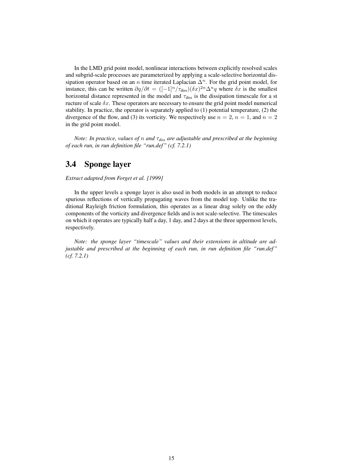In the LMD grid point model, nonlinear interactions between explicitly resolved scales and subgrid-scale processes are parameterized by applying a scale-selective horizontal dissipation operator based on an *n* time iterated Laplacian  $\Delta^n$ . For the grid point model, for instance, this can be written  $\partial q/\partial t = ([-1]^n / \tau_{\text{diss}})(\delta x)^{2n} \Delta^n q$  where  $\delta x$  is the smallest horizontal distance represented in the model and  $\tau_{\rm diss}$  is the dissipation timescale for a st ructure of scale  $\delta x$ . These operators are necessary to ensure the grid point model numerical stability. In practice, the operator is separately applied to (1) potential temperature, (2) the divergence of the flow, and (3) its vorticity. We respectively use  $n = 2$ ,  $n = 1$ , and  $n = 2$ in the grid point model.

*Note: In practice, values of* n *and* τ*diss are adjustable and prescribed at the beginning of each run, in run definition file "run.def" (cf. 7.2.1)*

## 3.4 Sponge layer

*Extract adapted from Forget et al. [1999]*

In the upper levels a sponge layer is also used in both models in an attempt to reduce spurious reflections of vertically propagating waves from the model top. Unlike the traditional Rayleigh friction formulation, this operates as a linear drag solely on the eddy components of the vorticity and divergence fields and is not scale-selective. The timescales on which it operates are typically half a day, 1 day, and 2 days at the three uppermost levels, respectively.

*Note: the sponge layer "timescale" values and their extensions in altitude are adjustable and prescribed at the beginning of each run, in run definition file "run.def" (cf. 7.2.1)*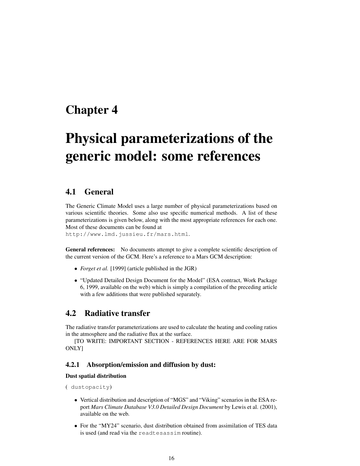# Chapter 4

# Physical parameterizations of the generic model: some references

## 4.1 General

The Generic Climate Model uses a large number of physical parameterizations based on various scientific theories. Some also use specific numerical methods. A list of these parameterizations is given below, along with the most appropriate references for each one. Most of these documents can be found at

http://www.lmd.jussieu.fr/mars.html.

General references: No documents attempt to give a complete scientific description of the current version of the GCM. Here's a reference to a Mars GCM description:

- *Forget et al.* [1999] (article published in the JGR)
- "Updated Detailed Design Document for the Model" (ESA contract, Work Package 6, 1999, available on the web) which is simply a compilation of the preceding article with a few additions that were published separately.

## 4.2 Radiative transfer

The radiative transfer parameterizations are used to calculate the heating and cooling ratios in the atmosphere and the radiative flux at the surface.

[TO WRITE: IMPORTANT SECTION - REFERENCES HERE ARE FOR MARS ONLY]

### 4.2.1 Absorption/emission and diffusion by dust:

### Dust spatial distribution

```
( dustopacity)
```
- Vertical distribution and description of "MGS" and "Viking" scenarios in the ESA report *Mars Climate Database V3.0 Detailed Design Document* by Lewis et al. (2001), available on the web.
- For the "MY24" scenario, dust distribution obtained from assimilation of TES data is used (and read via the readtesassim routine).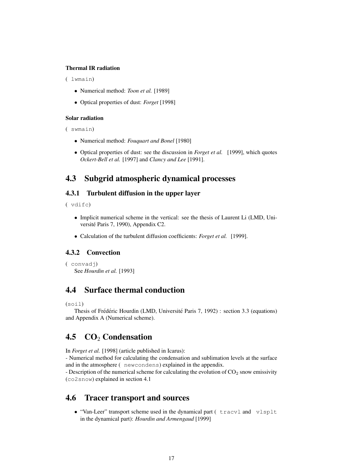### Thermal IR radiation

#### ( lwmain)

- Numerical method: *Toon et al.* [1989]
- Optical properties of dust: *Forget* [1998]

### Solar radiation

```
( swmain)
```
- Numerical method: *Fouquart and Bonel* [1980]
- Optical properties of dust: see the discussion in *Forget et al.* [1999], which quotes *Ockert-Bell et al.* [1997] and *Clancy and Lee* [1991].

## 4.3 Subgrid atmospheric dynamical processes

### 4.3.1 Turbulent diffusion in the upper layer

( vdifc)

- Implicit numerical scheme in the vertical: see the thesis of Laurent Li (LMD, Université Paris 7, 1990), Appendix C2.
- Calculation of the turbulent diffusion coefficients: *Forget et al.* [1999].

### 4.3.2 Convection

```
( convadj)
   See Hourdin et al. [1993]
```
## 4.4 Surface thermal conduction

(soil)

Thesis of Frédéric Hourdin (LMD, Université Paris 7, 1992) : section 3.3 (equations) and Appendix A (Numerical scheme).

## 4.5 CO<sub>2</sub> Condensation

In *Forget et al.* [1998] (article published in Icarus):

- Numerical method for calculating the condensation and sublimation levels at the surface and in the atmosphere ( newcondens) explained in the appendix.

- Description of the numerical scheme for calculating the evolution of  $CO<sub>2</sub>$  snow emissivity (co2snow) explained in section 4.1

### 4.6 Tracer transport and sources

• "Van-Leer" transport scheme used in the dynamical part ( tracvl and vlsplt in the dynamical part): *Hourdin and Armengaud* [1999]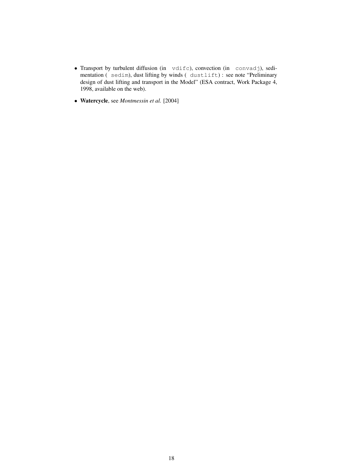- Transport by turbulent diffusion (in vdifc), convection (in convadj), sedimentation ( sedim), dust lifting by winds ( dustlift) : see note "Preliminary design of dust lifting and transport in the Model" (ESA contract, Work Package 4, 1998, available on the web).
- Watercycle, see *Montmessin et al.* [2004]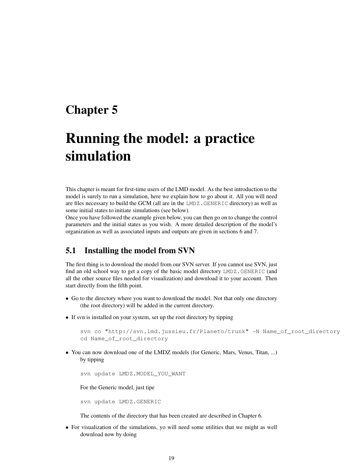# Chapter 5

# Running the model: a practice simulation

This chapter is meant for first-time users of the LMD model. As the best introduction to the model is surely to run a simulation, here we explain how to go about it. All you will need are files necessary to build the GCM (all are in the LMDZ.GENERIC directory) as well as some initial states to initiate simulations (see below).

Once you have followed the example given below, you can then go on to change the control parameters and the initial states as you wish. A more detailed description of the model's organization as well as associated inputs and outputs are given in sections 6 and 7.

## 5.1 Installing the model from SVN

The first thing is to download the model from our SVN server. If you cannot use SVN, just find an old school way to get a copy of the basic model directory LMDZ.GENERIC (and all the other source files needed for visualization) and download it to your account. Then start directly from the fifth point.

- Go to the directory where you want to download the model. Not that only one directory (the root directory) will be added in the current directory.
- If svn is installed on your system, set up the root directory by tipping

```
svn co "http://svn.lmd.jussieu.fr/Planeto/trunk" -N Name_of_root_directory
cd Name of root directory
```
• You can now download one of the LMDZ models (for Generic, Mars, Venus, Titan, ...) by tipping

svn update LMDZ.MODEL\_YOU\_WANT

For the Generic model, just tipe

svn update LMDZ.GENERIC

The contents of the directory that has been created are described in Chapter 6.

• For visualization of the simulations, yo will need some utilities that we might as well download now by doing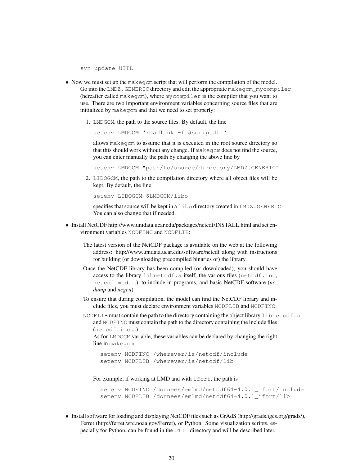svn update UTIL

- Now we must set up the makegcm script that will perform the compilation of the model. Go into the LMDZ.GENERIC directory and edit the appropriate makegcm\_mycompiler (hereafter called makegcm), where mycompiler is the compiler that you want to use. There are two important environment variables concerning source files that are initialized by makegcm and that we need to set properly:
	- 1. LMDGCM, the path to the source files. By default, the line

setenv LMDGCM 'readlink -f \$scriptdir'

allows makegcm to assume that it is executed in the root source directory so that this should work without any change. If makegcm does not find the source, you can enter manually the path by changing the above line by

setenv LMDGCM "path/to/source/directory/LMDZ.GENERIC"

2. LIBOGCM, the path to the compilation directory where all object files will be kept. By default, the line

setenv LIBOGCM \$LMDGCM/libo

specifies that source will be kept in a libo directory created in LMDZ.GENERIC. You can also change that if needed.

- Install NetCDF http://www.unidata.ucar.edu/packages/netcdf/INSTALL.html and set environment variables NCDFINC and NCDFLIB:
	- The latest version of the NetCDF package is available on the web at the following address: http://www.unidata.ucar.edu/software/netcdf along with instructions for building (or downloading precompiled binaries of) the library.
	- Once the NetCDF library has been compiled (or downloaded), you should have access to the library libnetcdf.a itself, the various files (netcdf.inc, netcdf.mod, ...) to include in programs, and basic NetCDF software (*ncdump* and *ncgen*).
	- To ensure that during compilation, the model can find the NetCDF library and include files, you must declare environment variables NCDFLIB and NCDFINC.
	- NCDFLIB must contain the path to the directory containing the object library libnetcdf.a and NCDFINC must contain the path to the directory containing the include files (netcdf.inc,...)

As for LMDGCM variable, these variables can be declared by changing the right line in makegcm

setenv NCDFINC /wherever/is/netcdf/include setenv NCDFLIB /wherever/is/netcdf/lib

For example, if working at LMD and with ifort, the path is

```
setenv NCDFINC /donnees/emlmd/netcdf64-4.0.1 ifort/include
setenv NCDFLIB /donnees/emlmd/netcdf64-4.0.1 ifort/lib
```
• Install software for loading and displaying NetCDF files such as GrAdS (http://grads.iges.org/grads/), Ferret (http://ferret.wrc.noaa.gov/Ferret), or Python. Some visualization scripts, especially for Python, can be found in the UTIL directory and will be described later.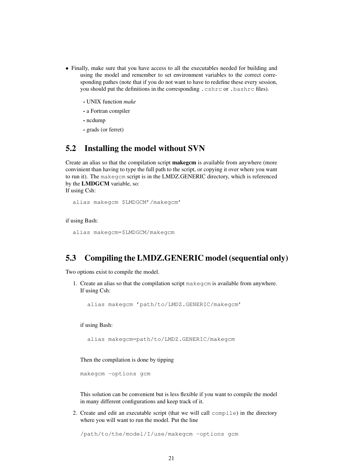- Finally, make sure that you have access to all the executables needed for building and using the model and remember to set environment variables to the correct corresponding pathes (note that if you do not want to have to redefine these every session, you should put the definitions in the corresponding .cshrc or .bashrc files).
	- UNIX function *make*
	- a Fortran compiler
	- ncdump
	- grads (or ferret)

## 5.2 Installing the model without SVN

Create an alias so that the compilation script **makegem** is available from anywhere (more convinient than having to type the full path to the script, or copying it over where you want to run it). The makegcm script is in the LMDZ.GENERIC directory, which is referenced by the LMDGCM variable, so:

If using Csh:

```
alias makegcm $LMDGCM'/makegcm'
```
if using Bash:

```
alias makegcm=$LMDGCM/makegcm
```
## 5.3 Compiling the LMDZ.GENERIC model (sequential only)

Two options exist to compile the model.

1. Create an alias so that the compilation script makegcm is available from anywhere. If using Csh:

alias makegcm 'path/to/LMDZ.GENERIC/makegcm'

if using Bash:

alias makegcm=path/to/LMDZ.GENERIC/makegcm

Then the compilation is done by tipping

makegcm -options gcm

This solution can be convenient but is less flexible if you want to compile the model in many different configurations and keep track of it.

2. Create and edit an executable script (that we will call compile) in the directory where you will want to run the model. Put the line

/path/to/the/model/I/use/makegcm -options gcm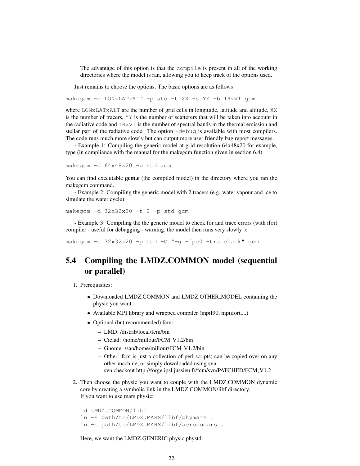The advantage of this option is that the compile is present in all of the working directories where the model is ran, allowing you to keep track of the options used.

Just remains to choose the options. The basic options are as follows

makegcm -d LONxLATxALT -p std -t XX -s YY -b IRxVI gcm

where LONxLATxALT are the number of grid cells in longitude, latitude and altitude, XX is the number of tracers, YY is the number of scatterers that will be taken into account in the radiative code and IRxVI is the number of spectral bands in the thermal emission and stellar part of the radiative code. The option -debug is available with most compilers. The code runs much more slowly but can output more user friendly bug report messages.

- Example 1: Compiling the generic model at grid resolution 64x48x20 for example, type (in compliance with the manual for the makegcm function given in section 6.4)

makegcm -d 64x48x20 -p std gcm

You can find executable gcm.e (the compiled model) in the directory where you ran the makegcm command.

- Example 2: Compiling the generic model with 2 tracers (e.g. water vapour and ice to simulate the water cycle):

makegcm -d 32x32x20 -t 2 -p std gcm

- Example 3: Compiling the the generic model to check for and trace errors (with ifort compiler - useful for debugging - warning, the model then runs very slowly!):

makegcm -d 32x32x20 -p std -O "-g -fpe0 -traceback" gcm

## 5.4 Compiling the LMDZ.COMMON model (sequential or parallel)

1. Prerequisites:

- Downloaded LMDZ.COMMON and LMDZ.OTHER MODEL containing the physic you want.
- Available MPI library and wrapped compiler (mpif90, mpiifort,...)
- Optional (but recommended) fcm:
	- LMD: /distrib/local/fcm/bin
	- Ciclad: /home/millour/FCM V1.2/bin
	- Gnome: /san/home/millour/FCM V1.2/bin
	- Other: fcm is just a collection of perl scripts; can be copied over on any other machine, or simply downloaded using svn: svn checkout http://forge.ipsl.jussieu.fr/fcm/svn/PATCHED/FCM\_V1.2
- 2. Then choose the physic you want to couple with the LMDZ.COMMON dynamic core by creating a symbolic link in the LMDZ.COMMON/libf directory. If you want to use mars physic:

cd LMDZ.COMMON/libf ln -s path/to/LMDZ.MARS/libf/phymars . ln -s path/to/LMDZ.MARS/libf/aeronomars .

Here, we want the LMDZ.GENERIC physic phystd: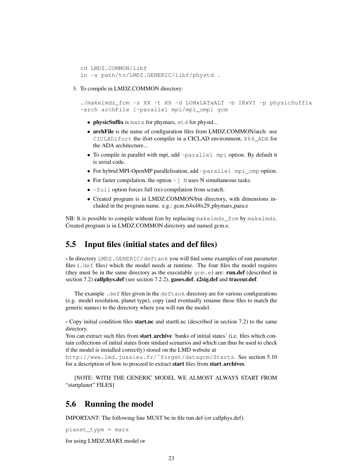```
cd LMDZ.COMMON/libf
ln -s path/to/LMDZ.GENERIC/libf/phystd .
```
### 3. To compile in LMDZ.COMMON directory:

```
./makelmdz_fcm -s XX -t XX -d LONxLATxALT -b IRxVI -p physicSuffix
-arch archFile [-parallel mpi/mpi_omp] gcm
```
- physicSuffix is mars for phymars, std for phystd...
- archFile is the name of configuration files from LMDZ.COMMON/arch: use CICLADifort the ifort compiler in a CICLAD environment, X64\_ADA for the ADA architecture...
- To compile in parallel with mpi, add -parallel mpi option. By default it is serial code.
- For hybrid MPI-OpenMP parallelisation, add -parallel mpi\_omp option.
- For faster compilation, the option  $-\frac{1}{3}$  N uses N simultaneous tasks.
- -full option forces full (re)-compilation from scratch.
- Created program is in LMDZ.COMMON/bin directory, with dimensions included in the program name. e.g.: gcm\_64x48x29\_phymars\_para.e

NB: It is possible to compile without fcm by replacing makelmdz\_fcm by makelmdz. Created program is in LMDZ.COMMON directory and named gcm.e.

## 5.5 Input files (initial states and def files)

- In directory LMDZ.GENERIC/deftank you will find some examples of run parameter files (.def files) which the model needs at runtime. The four files the model requires (they must be in the same directory as the executable  $qcm \cdot e$ ) are: **run.def** (described in section 7.2) callphys.def (see section 7.2.2), gases.def, z2sig.def and traceur.def.

The example .def files given in the deftank directory are for various configurations (e.g. model resolution, planet type), copy (and eventually rename these files to match the generic names) to the directory where you will run the model.

- Copy initial condition files **start.nc** and startfi.nc (described in section 7.2) to the same directory.

You can extract such files from **start archive** 'banks of initial states' (i.e. files which contain collections of initial states from stndard scenarios and which can thus be used to check if the model is installed correctly) stored on the LMD website at

http://www.lmd.jussieu.fr/˜forget/datagcm/Starts. See section 5.10 for a description of how to proceed to extract start files from start archives.

[NOTE: WITH THE GENERIC MODEL WE ALMOST ALWAYS START FROM "startplanet" FILES]

### 5.6 Running the model

IMPORTANT: The following line MUST be in file run.def (or callphys.def):

planet\_type = mars

for using LMDZ.MARS model or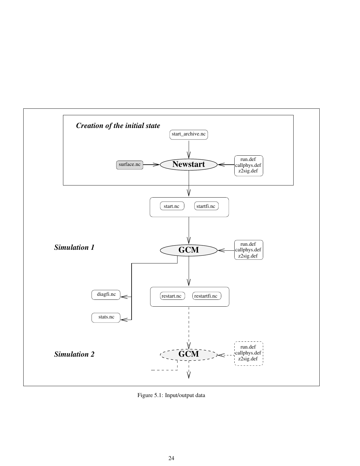

Figure 5.1: Input/output data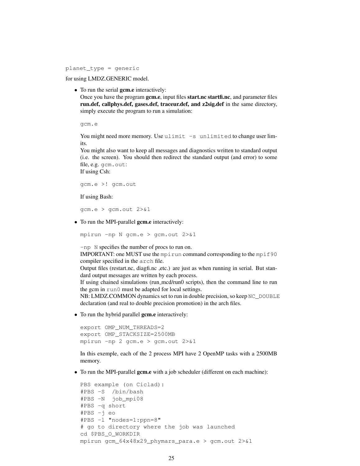planet\_type = generic

for using LMDZ.GENERIC model.

• To run the serial gcm.e interactively:

Once you have the program gcm.e, input files start.nc startfi.nc, and parameter files run.def, callphys.def, gases.def, traceur.def, and z2sig.def in the same directory, simply execute the program to run a simulation:

gcm.e

You might need more memory. Use ulimit -s unlimited to change user limits.

You might also want to keep all messages and diagnostics written to standard output (i.e. the screen). You should then redirect the standard output (and error) to some file, e.g. gcm.out:

If using Csh:

gcm.e >! gcm.out

If using Bash:

gcm.e > gcm.out 2>&1

• To run the MPI-parallel **gcm.e** interactively:

mpirun -np N gcm.e > gcm.out 2>&1

-np N specifies the number of procs to run on.

IMPORTANT: one MUST use the mpirun command corresponding to the mpif90 compiler specified in the arch file.

Output files (restart.nc, diagfi.nc ,etc.) are just as when running in serial. But standard output messages are written by each process.

If using chained simulations (run mcd/run0 scripts), then the command line to run the gcm in run0 must be adapted for local settings.

 $NB: LMDZ. COMMON dynamics set to run in double precision, so keep  $NC$  DOUBLE$ declaration (and real to double precision promotion) in the arch files.

• To run the hybrid parallel **gcm.e** interactively:

```
export OMP_NUM_THREADS=2
export OMP_STACKSIZE=2500MB
mpirun -np 2 gcm.e > gcm.out 2>&1
```
In this exemple, each of the 2 process MPI have 2 OpenMP tasks with a 2500MB memory.

• To run the MPI-parallel gcm.e with a job scheduler (different on each machine):

```
PBS example (on Ciclad):
#PBS -S /bin/bash
#PBS -N job_mpi08
#PBS -q short
#PBS -j eo
#PBS -l "nodes=1:ppn=8"
# go to directory where the job was launched
cd $PBS_O_WORKDIR
mpirun gcm 64x48x29 phymars para.e > gcm.out 2>1
```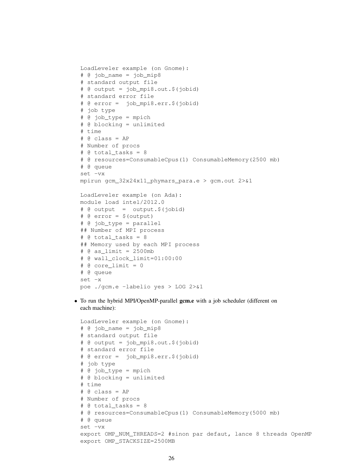```
LoadLeveler example (on Gnome):
# @ job_name = job_mip8
# standard output file
# @ output = job_mpi8.out.$(jobid)
# standard error file
# @ error = job_mpi8.err.$(jobid)
# job type
# @ job_type = mpich
# @ blocking = unlimited
# time
# @ class = AP
# Number of procs
# @ total_tasks = 8
# @ resources=ConsumableCpus(1) ConsumableMemory(2500 mb)
# @ queue
set -vx
mpirun gcm_32x24x11_phymars_para.e > gcm.out 2>&1
LoadLeveler example (on Ada):
module load intel/2012.0
# @ output = output.$(jobid)
# @ error = $(output)
# @ job_type = parallel
## Number of MPI process
\# @ total tasks = 8
## Memory used by each MPI process
# @ as_limit = 2500mb
# @ wall_clock_limit=01:00:00
# @ core_limit = 0
# @ queue
set -x
poe ./gcm.e -labelio yes > LOG 2>&1
```
• To run the hybrid MPI/OpenMP-parallel gcm.e with a job scheduler (different on each machine):

```
LoadLeveler example (on Gnome):
# @ job_name = job_mip8
# standard output file
# @ output = job_mpi8.out.$(jobid)
# standard error file
# @ error = job_mpi8.err.$(jobid)
# job type
# @ job_type = mpich
# @ blocking = unlimited
# time
# @ class = AP
# Number of procs
# @ total_tasks = 8
# @ resources=ConsumableCpus(1) ConsumableMemory(5000 mb)
# @ queue
set -vx
export OMP_NUM_THREADS=2 #sinon par defaut, lance 8 threads OpenMP
export OMP_STACKSIZE=2500MB
```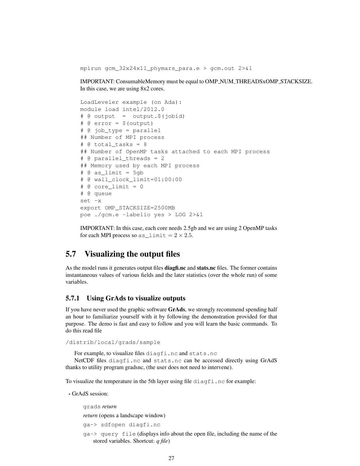mpirun gcm\_32x24x11\_phymars\_para.e > gcm.out 2>&1

IMPORTANT: ConsumableMemory must be equal to OMP NUM THREADSxOMP STACKSIZE. In this case, we are using 8x2 cores.

```
LoadLeveler example (on Ada):
module load intel/2012.0
# @ output = output . % (i)# @ error = $(output)
# @ job_type = parallel
## Number of MPI process
\# @ total tasks = 8
## Number of OpenMP tasks attached to each MPI process
# @ parallel_threads = 2
## Memory used by each MPI process
\# @ as limit = 5gb
# @ wall_clock_limit=01:00:00
\# @ core limit = 0
# @ queue
set -x
export OMP_STACKSIZE=2500MB
poe ./gcm.e -labelio yes > LOG 2>&1
```
IMPORTANT: In this case, each core needs 2.5gb and we are using 2 OpenMP tasks for each MPI process so  $as$  limit =  $2 \times 2.5$ .

## 5.7 Visualizing the output files

As the model runs it generates output files **diagfi.nc** and **stats.nc** files. The former contains instantaneous values of various fields and the later statistics (over the whole run) of some variables.

### 5.7.1 Using GrAds to visualize outputs

If you have never used the graphic software GrAds, we strongly recommend spending half an hour to familiarize yourself with it by following the demonstration provided for that purpose. The demo is fast and easy to follow and you will learn the basic commands. To do this read file

```
/distrib/local/grads/sample
```
For example, to visualize files diagfi.nc and stats.nc

NetCDF files diagfi.nc and stats.nc can be accessed directly using GrAdS thanks to utility program gradsnc, (the user does not need to intervene).

To visualize the temperature in the 5th layer using file diagfi.nc for example:

- GrAdS session:

grads *return*

*return* (opens a landscape window)

```
ga-> sdfopen diagfi.nc
```
ga-> query file (displays info about the open file, including the name of the stored variables. Shortcut: *q file*)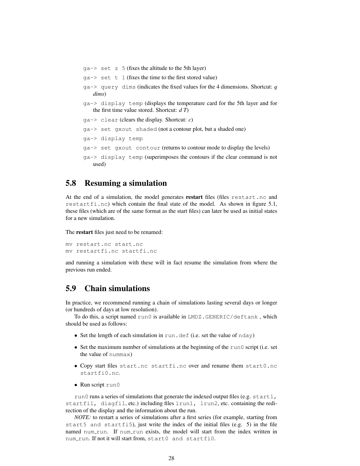$qa \rightarrow$  set z 5 (fixes the altitude to the 5th layer)  $qa \rightarrow set t 1$  (fixes the time to the first stored value) ga-> query dims (indicates the fixed values for the 4 dimensions. Shortcut: *q dims*) ga-> display temp (displays the temperature card for the 5th layer and for the first time value stored. Shortcut: *d T*) ga-> clear (clears the display. Shortcut: *c*) ga-> set gxout shaded (not a contour plot, but a shaded one) ga-> display temp ga-> set gxout contour (returns to contour mode to display the levels) ga-> display temp (superimposes the contours if the clear command is not used)

## 5.8 Resuming a simulation

At the end of a simulation, the model generates restart files (files restart.nc and restartfi.nc) which contain the final state of the model. As shown in figure 5.1, these files (which are of the same format as the start files) can later be used as initial states for a new simulation.

The restart files just need to be renamed:

```
mv restart.nc start.nc
mv restartfi.nc startfi.nc
```
and running a simulation with these will in fact resume the simulation from where the previous run ended.

## 5.9 Chain simulations

In practice, we recommend running a chain of simulations lasting several days or longer (or hundreds of days at low resolution).

To do this, a script named run0 is available in LMDZ.GENERIC/deftank , which should be used as follows:

- Set the length of each simulation in run.def (i.e. set the value of nday)
- Set the maximum number of simulations at the beginning of the run0 script (i.e. set the value of nummax)
- Copy start files start.nc startfi.nc over and rename them start0.nc startfi0.nc.
- Run script run0

run0 runs a series of simulations that generate the indexed output files (e.g. start1, startfi1, diagfi1, etc.) including files lrun1, lrun2, etc. containing the redirection of the display and the information about the run.

*NOTE:* to restart a series of simulations after a first series (for example, starting from start5 and startfi5), just write the index of the initial files (e.g. 5) in the file named num run. If num run exists, the model will start from the index written in num run. If not it will start from, start0 and startfi0.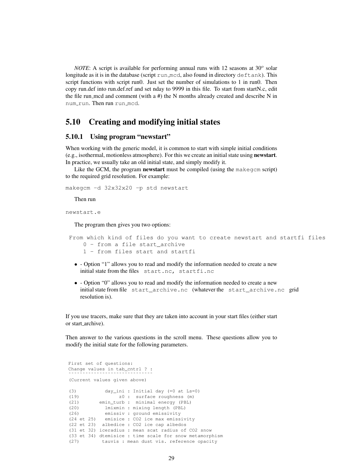*NOTE*: A script is available for performing annual runs with  $12$  seasons at  $30^{\circ}$  solar longitude as it is in the database (script run mcd, also found in directory deftank). This script functions with script run0. Just set the number of simulations to 1 in run0. Then copy run.def into run.def.ref and set nday to 9999 in this file. To start from startN.c, edit the file run mcd and comment (with a  $#$ ) the N months already created and describe N in num run. Then run run mcd.

## 5.10 Creating and modifying initial states

### 5.10.1 Using program "newstart"

When working with the generic model, it is common to start with simple initial conditions (e.g., isothermal, motionless atmosphere). For this we create an initial state using newstart. In practice, we usually take an old initial state, and simply modify it.

Like the GCM, the program **newstart** must be compiled (using the makegom script) to the required grid resolution. For example:

```
makegcm -d 32x32x20 -p std newstart
```
Then run

newstart.e

The program then gives you two options:

```
From which kind of files do you want to create newstart and startfi files
    0 - from a file start archive
   1 - from files start and startfi
```
- - Option "1" allows you to read and modify the information needed to create a new initial state from the files start.nc, startfi.nc
- - Option "0" allows you to read and modify the information needed to create a new initial state from file start\_archive.nc (whatever the start\_archive.nc grid resolution is).

If you use tracers, make sure that they are taken into account in your start files (either start or start archive).

Then answer to the various questions in the scroll menu. These questions allow you to modify the initial state for the following parameters.

```
First set of questions:
Change values in tab_cntrl ? :
˜˜˜˜˜˜˜˜˜˜˜˜˜˜˜˜˜˜˜˜˜˜˜˜˜˜˜˜˜˜
(Current values given above)
(3) day_ini : Initial day (=0 at Ls=0)
(19) z0 : surface roughness (m)
(21) emin_turb : minimal energy (PBL)
(20) lmixmin : mixing length (PBL)
(26) emissiv : ground emissivity
(24 et 25) emisice : CO2 ice max emissivity
(22 et 23) albedice : CO2 ice cap albedos
(31 et 32) iceradius : mean scat radius of CO2 snow
(33 et 34) dtemisice : time scale for snow metamorphism
(27) tauvis : mean dust vis. reference opacity
```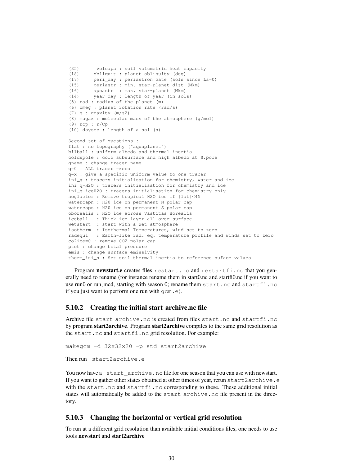```
(35) volcapa : soil volumetric heat capacity
(18) obliquit : planet obliquity (deg)
(17) peri_day : periastron date (sols since Ls=0)
(15) periastr : min. star-planet dist (Mkm)
(16) apoastr : max. star-planet (Mkm)
(14) year_day : length of year (in sols)
(5) rad : radius of the planet (m)
(6) omeg : planet rotation rate (rad/s)
(7) g : gravity (m/s2)
(8) mugaz : molecular mass of the atmosphere (g/mol)
(9) rcp : r/Cp
(10) daysec : length of a sol (s)
Second set of questions :
flat : no topography ("aquaplanet")
bilball : uniform albedo and thermal inertia
coldspole : cold subsurface and high albedo at S.pole
qname : change tracer name
q=0 : ALL tracer =zero
q=x : give a specific uniform value to one tracer
ini_q : tracers initialisation for chemistry, water and ice
ini q-H2O : tracers initialisation for chemistry and ice
ini_q-iceH2O : tracers initialisation for chemistry only
noglacier : Remove tropical H2O ice if |lat|<45
watercapn : H20 ice on permanent N polar cap
watercaps : H20 ice on permanent S polar cap
oborealis : H2O ice across Vastitas Borealis
iceball : Thick ice layer all over surface
wetstart : start with a wet atmosphere
isotherm : Isothermal Temperatures, wind set to zero
radequi : Earth-like rad. eq. temperature profile and winds set to zero
co2ice=0 : remove CO2 polar cap
ptot : change total pressure
emis : change surface emissivity
therm ini s : Set soil thermal inertia to reference suface values
```
Program newstart.e creates files restart.nc and restartfi.nc that you generally need to rename (for instance rename them in start0.nc and startfi0.nc if you want to use run0 or run\_mcd, starting with season 0; rename them start.nc and startfi.nc if you just want to perform one run with gcm.e).

### 5.10.2 Creating the initial start archive.nc file

Archive file start\_archive.nc is created from files start.nc and startfi.nc by program start2archive. Program start2archive compiles to the same grid resolution as the start.nc and startfi.nc grid resolution. For example:

makegcm -d 32x32x20 -p std start2archive

Then run start2archive.e

You now have a start\_archive.nc file for one season that you can use with newstart. If you want to gather other states obtained at other times of year, rerun start2archive.e with the start.nc and startfi.nc corresponding to these. These additional initial states will automatically be added to the start archive.nc file present in the directory.

### 5.10.3 Changing the horizontal or vertical grid resolution

To run at a different grid resolution than available initial conditions files, one needs to use tools newstart and start2archive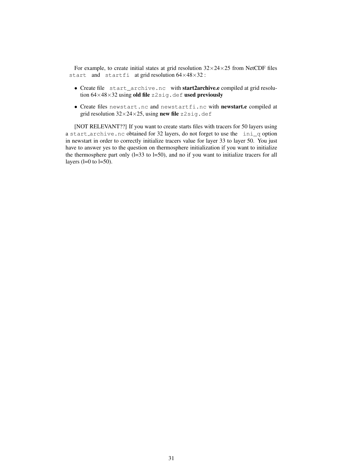For example, to create initial states at grid resolution  $32\times24\times25$  from NetCDF files start and startfi at grid resolution  $64\times48\times32$ :

- Create file start\_archive.nc with start2archive.e compiled at grid resolution  $64\times48\times32$  using old file z2sig.def used previously
- Create files newstart.nc and newstartfi.nc with newstart.e compiled at grid resolution  $32 \times 24 \times 25$ , using new file z2sig.def

[NOT RELEVANT??] If you want to create starts files with tracers for 50 layers using a start archive.nc obtained for 32 layers, do not forget to use the ini\_q option in newstart in order to correctly initialize tracers value for layer 33 to layer 50. You just have to answer yes to the question on thermosphere initialization if you want to initialize the thermosphere part only  $(l=33$  to  $l=50$ ), and no if you want to initialize tracers for all layers  $(l=0 \text{ to } l=50)$ .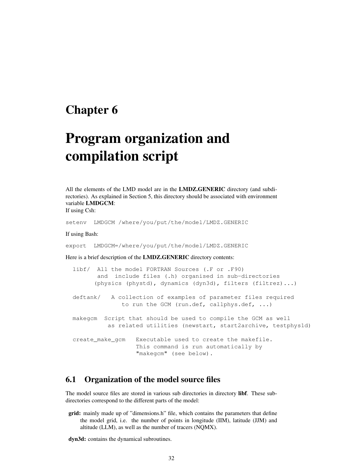# Chapter 6

# Program organization and compilation script

All the elements of the LMD model are in the LMDZ.GENERIC directory (and subdirectories). As explained in Section 5, this directory should be associated with environment variable LMDGCM:

If using Csh:

setenv LMDGCM /where/you/put/the/model/LMDZ.GENERIC

If using Bash:

export LMDGCM=/where/you/put/the/model/LMDZ.GENERIC

Here is a brief description of the LMDZ.GENERIC directory contents:

|                                                                                                                             | libf/ All the model FORTRAN Sources (.F or .F90)                                                                   |  |  |  |  |
|-----------------------------------------------------------------------------------------------------------------------------|--------------------------------------------------------------------------------------------------------------------|--|--|--|--|
|                                                                                                                             | and include files (.h) organised in sub-directories                                                                |  |  |  |  |
|                                                                                                                             | (physics (phystd), dynamics (dyn3d), filters (filtrez))                                                            |  |  |  |  |
|                                                                                                                             | deftank/ A collection of examples of parameter files required<br>to run the GCM (run.def, callphys.def, $\ldots$ ) |  |  |  |  |
| makegom Script that should be used to compile the GCM as well<br>as related utilities (newstart, start2archive, testphys1d) |                                                                                                                    |  |  |  |  |
| create_make_qcm                                                                                                             | Executable used to create the makefile.<br>This command is run automatically by<br>"makegcm" (see below).          |  |  |  |  |

## 6.1 Organization of the model source files

The model source files are stored in various sub directories in directory libf. These subdirectories correspond to the different parts of the model:

grid: mainly made up of "dimensions.h" file, which contains the parameters that define the model grid, i.e. the number of points in longitude (IIM), latitude (JJM) and altitude (LLM), as well as the number of tracers (NQMX).

dyn3d: contains the dynamical subroutines.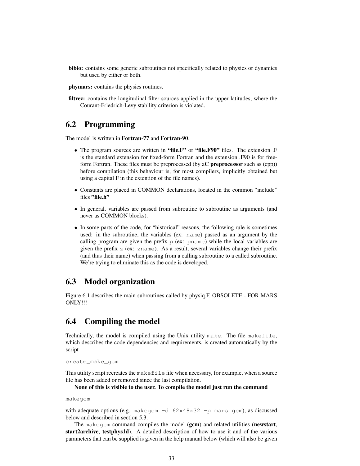bibio: contains some generic subroutines not specifically related to physics or dynamics but used by either or both.

phymars: contains the physics routines.

filtrez: contains the longitudinal filter sources applied in the upper latitudes, where the Courant-Friedrich-Levy stability criterion is violated.

## 6.2 Programming

The model is written in Fortran-77 and Fortran-90.

- The program sources are written in "file.F" or "file.F90" files. The extension .F is the standard extension for fixed-form Fortran and the extension .F90 is for freeform Fortran. These files must be preprocessed (by aC preprocessor such as (cpp)) before compilation (this behaviour is, for most compilers, implicitly obtained but using a capital F in the extention of the file names).
- Constants are placed in COMMON declarations, located in the common "include" files "file.h"
- In general, variables are passed from subroutine to subroutine as arguments (and never as COMMON blocks).
- In some parts of the code, for "historical" reasons, the following rule is sometimes used: in the subroutine, the variables (ex: name) passed as an argument by the calling program are given the prefix  $p$  (ex: pname) while the local variables are given the prefix z (ex: zname). As a result, several variables change their prefix (and thus their name) when passing from a calling subroutine to a called subroutine. We're trying to eliminate this as the code is developed.

## 6.3 Model organization

Figure 6.1 describes the main subroutines called by physiq.F. OBSOLETE - FOR MARS ONLY!!!

## 6.4 Compiling the model

Technically, the model is compiled using the Unix utility make. The file makefile, which describes the code dependencies and requirements, is created automatically by the script

```
create_make_gcm
```
This utility script recreates the makefile file when necessary, for example, when a source file has been added or removed since the last compilation.

None of this is visible to the user. To compile the model just run the command

makegcm

with adequate options (e.g. makegcm  $-d$  62x48x32 -p mars gcm), as discussed below and described in section 5.3.

The makegcm command compiles the model (gcm) and related utilities (newstart, start2archive, testphys1d). A detailed description of how to use it and of the various parameters that can be supplied is given in the help manual below (which will also be given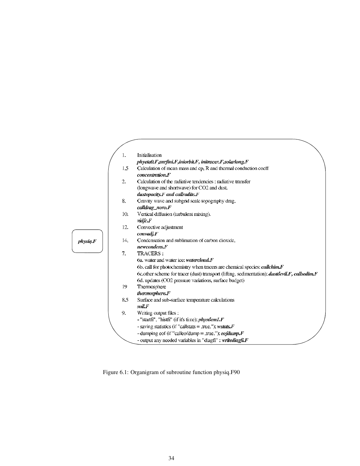|          | 1.  | <b>Initialisation</b>                                                                                 |
|----------|-----|-------------------------------------------------------------------------------------------------------|
|          |     | phyeta0.F, surfini.F, iniorbit.F, initracer.F, solarlong.F                                            |
|          | 1.5 | Calculation of mean mass and cp, R and thermal conduction coeff                                       |
|          |     | concentration.F                                                                                       |
|          | 2.  | Calculation of the radiative tendencies: radiative transfer                                           |
|          |     | (longwave and shortwave) for CO2 and dust.                                                            |
|          |     | $dustopacity.F$ and callradite. $F$                                                                   |
|          | 8.  | Gravity wave and subgrid scale topography drag.                                                       |
|          |     | calldrag_noro.F                                                                                       |
|          | 10. | Vertical diffusion (turbulent mixing).                                                                |
|          |     | vidfc.F                                                                                               |
|          | 12. | Convective adjustment                                                                                 |
|          |     | convadj.F                                                                                             |
| physiq.F | 14. | Condensation and sublimation of carbon dioxide.                                                       |
|          |     | newcondens.F                                                                                          |
|          | 7.  | <b>TRACERS:</b>                                                                                       |
|          |     | 6a. water and water ice: watercloud.F                                                                 |
|          |     | 6b. call for photochemistry when tracers are chemical species: <i>callchim.F</i>                      |
|          |     | 6c.other scheme for tracer (dust) transport (lifting, sedimentation): <i>dustdevil.F, callsedim.F</i> |
|          |     | 6d. updates (CO2 pressure variations, surface budget)                                                 |
|          | 19  | Thermosphere                                                                                          |
|          |     | thermosphere.F                                                                                        |
|          | 8.5 | Surface and sub-surface temperature calculations                                                      |
|          |     | soil.F                                                                                                |
|          | 9.  | Writing output files :                                                                                |
|          |     | - "startfi", "histfi" (if it's time): <i>physdem1.F</i>                                               |
|          |     | - saving statistics (if "callstats = .true."): wstats. $F$                                            |
|          |     | - dumping eof (if "calleofdump = .true."): eofdump. $F$                                               |
|          |     | - output any needed variables in "diagfi" : writediagfi.F                                             |

Figure 6.1: Organigram of subroutine function physiq.F90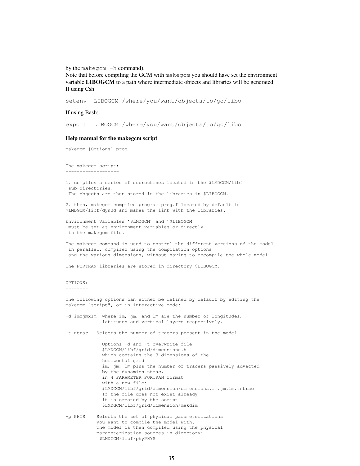by the makegcm -h command).

Note that before compiling the GCM with makegcm you should have set the environment variable LIBOGCM to a path where intermediate objects and libraries will be generated. If using Csh:

setenv LIBOGCM /where/you/want/objects/to/go/libo

If using Bash:

export LIBOGCM=/where/you/want/objects/to/go/libo

### Help manual for the makegcm script

makegcm [Options] prog

The makegcm script: -------------------

1. compiles a series of subroutines located in the \$LMDGCM/libf sub-directories. The objects are then stored in the libraries in \$LIBOGCM.

2. then, makegcm compiles program prog.f located by default in \$LMDGCM/libf/dyn3d and makes the link with the libraries.

Environment Variables '\$LMDGCM' and '\$LIBOGCM' must be set as environment variables or directly in the makegcm file.

The makegcm command is used to control the different versions of the model in parallel, compiled using the compilation options and the various dimensions, without having to recompile the whole model.

The FORTRAN libraries are stored in directory \$LIBOGCM.

#### OPTIONS: --------

The following options can either be defined by default by editing the makegcm "script", or in interactive mode: -d imxjmxlm where im, jm, and lm are the number of longitudes, latitudes and vertical layers respectively. -t ntrac Selects the number of tracers present in the model Options -d and -t overwrite file \$LMDGCM/libf/grid/dimensions.h which contains the 3 dimensions of the

horizontal grid im, jm, lm plus the number of tracers passively advected by the dynamics ntrac, in 4 PARAMETER FORTRAN format with a new file: \$LMDGCM/libf/grid/dimension/dimensions.im.jm.lm.tntrac If the file does not exist already it is created by the script \$LMDGCM/libf/grid/dimension/makdim

-p PHYS Selects the set of physical parameterizations you want to compile the model with. The model is then compiled using the physical parameterization sources in directory: \$LMDGCM/libf/phyPHYS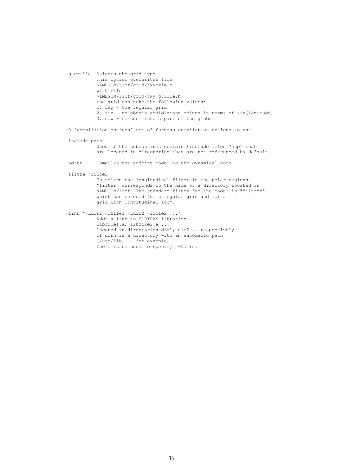-g grille Selects the grid type. This option overwrites file \$LMDGCM/libf/grid/fxyprim.h with file \$LMDGCM/libf/grid/fxy\_grille.h the grid can take the following values: 1. reg - the regular grid 2. sin - to obtain equidistant points in terms of sin(latitude) 3. new - to zoom into a part of the globe -O "compilation options" set of fortran compilation options to use -include path Used if the subroutines contain #include files (ccp) that are located in directories that are not referenced by default. -adjnt Compiles the adjoint model to the dynamical code. -filtre filter To select the longitudinal filter in the polar regions. "filter" corresponds to the name of a directory located in \$LMDGCM/libf. The standard filter for the model is "filtrez" which can be used for a regular grid and for a grid with longitudinal zoom. -link "-Ldir1 -lfile1 -Ldir2 -lfile2 ..." Adds a link to FORTRAN libraries libfile1.a, libfile2.a ... located in directories dir1, dir2 ...respectively If dirn is a directory with an automatic path (/usr/lib ... for example) there is no need to specify -Ldirn.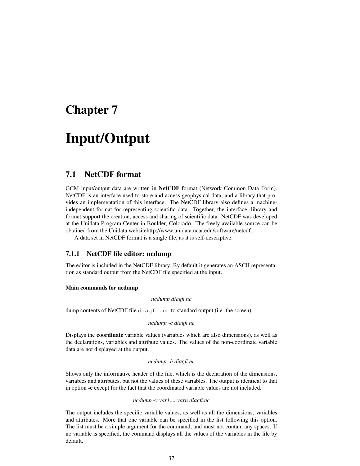# Chapter 7

# Input/Output

## 7.1 NetCDF format

GCM input/output data are written in NetCDF format (Network Common Data Form). NetCDF is an interface used to store and access geophysical data, and a library that provides an implementation of this interface. The NetCDF library also defines a machineindependent format for representing scientific data. Together, the interface, library and format support the creation, access and sharing of scientific data. NetCDF was developed at the Unidata Program Center in Boulder, Colorado. The freely available source can be obtained from the Unidata websitehttp://www.unidata.ucar.edu/software/netcdf.

A data set in NetCDF format is a single file, as it is self-descriptive.

### 7.1.1 NetCDF file editor: ncdump

The editor is included in the NetCDF library. By default it generates an ASCII representation as standard output from the NetCDF file specified at the input.

#### Main commands for ncdump

#### *ncdump diagfi.nc*

dump contents of NetCDF file diagfi.nc to standard output (i.e. the screen).

*ncdump -c diagfi.nc*

Displays the coordinate variable values (variables which are also dimensions), as well as the declarations, variables and attribute values. The values of the non-coordinate variable data are not displayed at the output.

### *ncdump -h diagfi.nc*

Shows only the informative header of the file, which is the declaration of the dimensions, variables and attributes, but not the values of these variables. The output is identical to that in option -c except for the fact that the coordinated variable values are not included.

### *ncdump -v var1,...,varn diagfi.nc*

The output includes the specific variable values, as well as all the dimensions, variables and attributes. More that one variable can be specified in the list following this option. The list must be a simple argument for the command, and must not contain any spaces. If no variable is specified, the command displays all the values of the variables in the file by default.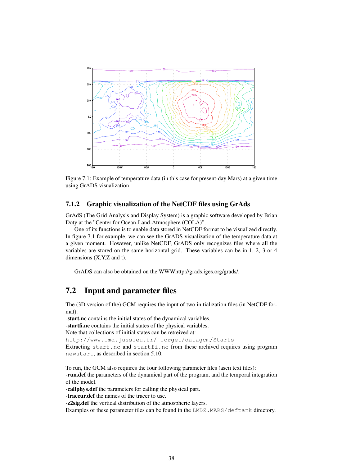

Figure 7.1: Example of temperature data (in this case for present-day Mars) at a given time using GrADS visualization

### 7.1.2 Graphic visualization of the NetCDF files using GrAds

GrAdS (The Grid Analysis and Display System) is a graphic software developed by Brian Doty at the "Center for Ocean-Land-Atmosphere (COLA)".

One of its functions is to enable data stored in NetCDF format to be visualized directly. In figure 7.1 for example, we can see the GrADS visualization of the temperature data at a given moment. However, unlike NetCDF, GrADS only recognizes files where all the variables are stored on the same horizontal grid. These variables can be in 1, 2, 3 or 4 dimensions (X,Y,Z and t).

GrADS can also be obtained on the WWWhttp://grads.iges.org/grads/.

## 7.2 Input and parameter files

The (3D version of the) GCM requires the input of two initialization files (in NetCDF format):

-start.nc contains the initial states of the dynamical variables. -startfi.nc contains the initial states of the physical variables. Note that collections of initial states can be retreived at: http://www.lmd.jussieu.fr/˜forget/datagcm/Starts Extracting start.nc and startfi.nc from these archived requires using program newstart, as described in section 5.10.

To run, the GCM also requires the four following parameter files (ascii text files): -run.def the parameters of the dynamical part of the program, and the temporal integration of the model.

-callphys.def the parameters for calling the physical part.

-traceur.def the names of the tracer to use.

-z2sig.def the vertical distribution of the atmospheric layers.

Examples of these parameter files can be found in the LMDZ.MARS/deftank directory.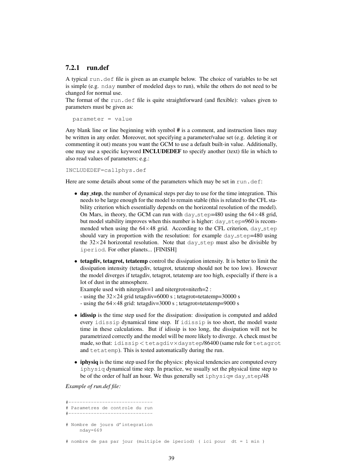### 7.2.1 run.def

A typical run.def file is given as an example below. The choice of variables to be set is simple (e.g. nday number of modeled days to run), while the others do not need to be changed for normal use.

The format of the run.def file is quite straightforward (and flexible): values given to parameters must be given as:

```
parameter = value
```
Any blank line or line beginning with symbol # is a comment, and instruction lines may be written in any order. Moreover, not specifying a parameter/value set (e.g. deleting it or commenting it out) means you want the GCM to use a default built-in value. Additionally, one may use a specific keyword INCLUDEDEF to specify another (text) file in which to also read values of parameters; e.g.:

INCLUDEDEF=callphys.def

Here are some details about some of the parameters which may be set in run.def:

- day step, the number of dynamical steps per day to use for the time integration. This needs to be large enough for the model to remain stable (this is related to the CFL stability criterion which essentially depends on the horizontal resolution of the model). On Mars, in theory, the GCM can run with day step=480 using the  $64\times48$  grid, but model stability improves when this number is higher:  $day\_step=960$  is recommended when using the  $64\times48$  grid. According to the CFL criterion, day step should vary in proportion with the resolution: for example  $day\_step=480$  using the  $32\times24$  horizontal resolution. Note that day step must also be divisible by iperiod. For other planets... [FINISH]
- tetagdiv, tetagrot, tetatemp control the dissipation intensity. It is better to limit the dissipation intensity (tetagdiv, tetagrot, tetatemp should not be too low). However the model diverges if tetagdiv, tetagrot, tetatemp are too high, especially if there is a lot of dust in the atmosphere.

Example used with nitergdiv=1 and nitergrot=niterh=2 :

- using the  $32\times24$  grid tetagdiv=6000 s; tetagrot=tetatemp=30000 s

- using the  $64\times48$  grid: tetagdiv=3000 s ; tetagrot=tetatemp=9000 s

- idissip is the time step used for the dissipation: dissipation is computed and added every idissip dynamical time step. If idissip is too short, the model waste time in these calculations. But if idissip is too long, the dissipation will not be parametrized correctly and the model will be more likely to diverge. A check must be made, so that: idissip < tetagdiv×daystep/86400 (same rule for tetagrot and tetatemp). This is tested automatically during the run.
- iphysiq is the time step used for the physics: physical tendencies are computed every iphysiq dynamical time step. In practice, we usually set the physical time step to be of the order of half an hour. We thus generally set  $i$ physiq= day\_step/48

*Example of run.def file:*

```
#------------------------------
# Parametres de controle du run
#------------------------------
# Nombre de jours d'integration
    nday=669
```
# nombre de pas par jour (multiple de iperiod) ( ici pour dt = 1 min )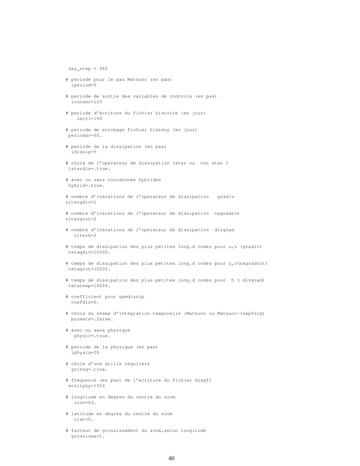```
day\_step = 960# periode pour le pas Matsuno (en pas)
  iperiod=5
# periode de sortie des variables de controle (en pas)
  iconser=120
# periode d'ecriture du fichier histoire (en jour)
    iecri=100
# periode de stockage fichier histmoy (en jour)
periodav=60.
# periode de la dissipation (en pas)
  idissip=5
# choix de l'operateur de dissipation (star ou non star )
 lstardis=.true.
# avec ou sans coordonnee hybrides
hybrid=.true.
# nombre d'iterations de l'operateur de dissipation gradiv
nitergdiv=1
# nombre d'iterations de l'operateur de dissipation nxgradrot
nitergrot=2
# nombre d'iterations de l'operateur de dissipation divgrad
  niterh=2
# temps de dissipation des plus petites long.d ondes pour u,v (gradiv)
tetagdiv=10000.
# temps de dissipation des plus petites long.d ondes pour u,v(nxgradrot)
tetagrot=10000.
# temps de dissipation des plus petites long.d ondes pour h ( divgrad)
tetatemp=10000.
# coefficient pour gamdissip
  coefdis=0.
# choix du shema d'integration temporelle (Matsuno ou Matsuno-leapfrog)
  purmats=.false.
# avec ou sans physique
  physic=.true.
# periode de la physique (en pas)
  iphysiq=20
# choix d'une grille reguliere
  grireg=.true.
# frequence (en pas) de l'ecriture du fichier diagfi
ecritphy=1920
# longitude en degres du centre du zoom
  clon=63.
# latitude en degres du centre du zoom
   clat=0.
# facteur de grossissement du zoom,selon longitude
  grossismx=1.
```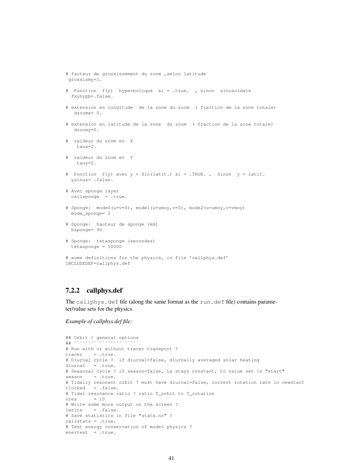```
# facteur de grossissement du zoom ,selon latitude
grossismy=1.
# Fonction f(y) hyperbolique si = .true. , sinon sinusoidale
  fxyhypb=.false.
# extension en longitude de la zone du zoom ( fraction de la zone totale)
  dzoomx= 0.
# extension en latitude de la zone du zoom ( fraction de la zone totale)
  dzoomy=0.
# raideur du zoom en X
   taux=2.
# raideur du zoom en Y
   tauy=2.
# Fonction f(y) avec y = Sin(latit.) si = .TRUE., Sinon y = latit.ysinus= .false.
# Avec sponge layer
 callsponge = .true.
# Sponge: mode0(u=v=0), mode1(u=umoy,v=0), mode2(u=umoy,v=vmoy)
  mode_sponge= 2
# Sponge: hauteur de sponge (km)
  hsponge= 90
# Sponge: tetasponge (secondes)
  tetasponge = 50000
# some definitions for the physics, in file 'callphys.def'
INCLUDEDEF=callphys.def
```
### 7.2.2 callphys.def

The callphys.def file (along the same format as the run.def file) contains parameter/value sets for the physics.

*Example of callphys.def file:*

```
## Orbit / general options
# # *# Run with or without tracer transport ?
tracer = .true.
# Diurnal cycle ? if diurnal=false, diurnally averaged solar heating
diurnal = .true.
# Seasonal cycle ? if season=false, Ls stays constant, to value set in "start"
season = .true.
# Tidally resonant orbit ? must have diurnal=false, correct rotation rate in newstart
tlocked = .false.
# Tidal resonance ratio ? ratio T_orbit to T_rotation
nres = 10# Write some more output on the screen ?
lwrite = .false.
# Save statistics in file "stats.nc" ?
callstats = .true.
# Test energy conservation of model physics ?
enertest = .true.
```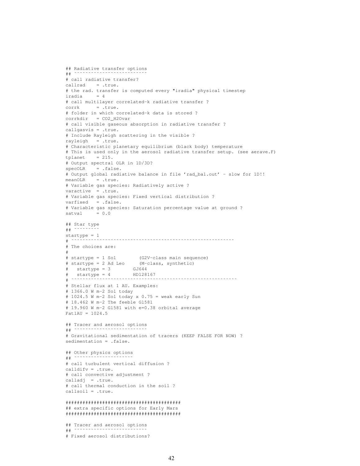```
## Radiative transfer options
# ^*# call radiative transfer?
callrad = .true.
# the rad. transfer is computed every "iradia" physical timestep
iradia = 4
# call multilayer correlated-k radiative transfer ?
corrk = true.# folder in which correlated-k data is stored ?
corrkdir = CO2_H2Ovar
# call visible gaseous absorption in radiative transfer ?
callgasvis = .true.
# Include Rayleigh scattering in the visible ?
rayleigh = .true.
# Characteristic planetary equilibrium (black body) temperature
# This is used only in the aerosol radiative transfer setup. (see aerave.F)
t n = 215.
# Output spectral OLR in 1D/3D?
specOLR = .false.
# Output global radiative balance in file 'rad_bal.out' - slow for 1D!!
meanOLR = .true.
# Variable gas species: Radiatively active ?
varactive = .true.
# Variable gas species: Fixed vertical distribution ?
varfixed = .false.
# Variable gas species: Saturation percentage value at ground ?
satval = 0.0## Star type
## ˜˜˜˜˜˜˜˜˜
startype = 1<br># 500# ˜˜˜˜˜˜˜˜˜˜˜˜˜˜˜˜˜˜˜˜˜˜˜˜˜˜˜˜˜˜˜˜˜˜˜˜˜˜˜˜˜˜˜˜˜˜˜˜˜˜˜˜˜˜˜˜˜˜
# The choices are:
#
# startype = 1 Sol (G2V-class main sequence)
# startype = 2 Ad Leo (M-class, synthetic)
# startype = 3 GJ644
# startype = 4 HD128167
# ˜˜˜˜˜˜˜˜˜˜˜˜˜˜˜˜˜˜˜˜˜˜˜˜˜˜˜˜˜˜˜˜˜˜˜˜˜˜˜˜˜˜˜˜˜˜˜˜˜˜˜˜˜˜˜˜˜˜˜
# Stellar flux at 1 AU. Examples:
# 1366.0 W m-2 Sol today
# 1024.5 W m-2 Sol today x 0.75 = weak early Sun# 18.462 W m-2 The feeble Gl581
# 19.960 W m-2 Gl581 with e=0.38 orbital average
Fat1AU = 1024.5## Tracer and aerosol options
### Gravitational sedimentation of tracers (KEEP FALSE FOR NOW) ?
sedimentation = .false.
## Other physics options
## \degree# call turbulent vertical diffusion ?
calldifv = .true.
# call convective adjustment ?
calladj = .true.
# call thermal conduction in the soil ?
callsoil = .true.
#########################################
## extra specific options for Early Mars
#########################################
## Tracer and aerosol options
## ˜˜˜˜˜˜˜˜˜˜˜˜˜˜˜˜˜˜˜˜˜˜˜˜˜˜
# Fixed aerosol distributions?
```
42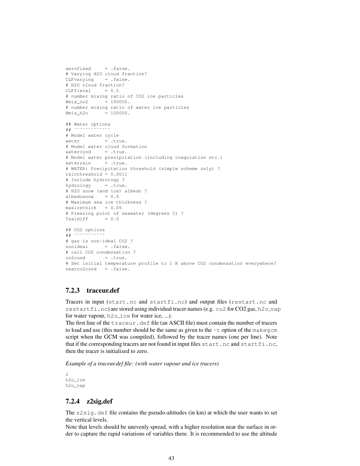```
aerofixed = .false.
# Varying H2O cloud fraction?
CLFvarying = .false.
# H2O cloud fraction?
CLFfixval = 0.5# number mixing ratio of CO2 ice particles
Nmix_co2 = 100000.
# number mixing ratio of water ice particles
Nmix_h2o = 100000.## Water options
## ˜˜˜˜˜˜˜˜˜˜˜˜˜
# Model water cycle
water = .true.
# Model water cloud formation
watercond = .true.
# Model water precipitation (including coagulation etc.)
waterrain = .true.
# WATER: Precipitation threshold (simple scheme only) ?
rainthreshold = 0.0011
# Include hydrology ?
hydrology = .true.
# H2O snow (and ice) albedo ?
albedosnow = 0.5
# Maximum sea ice thickness ?
maxicethick = 0.05
# Freezing point of seawater (degrees C) ?
Tsaldiff = 0.0## CO2 options
## ˜˜˜˜˜˜˜˜˜˜˜
# gas is non-ideal CO2 ?
nonideal = .false.
# call CO2 condensation ?
co2cond = .true.# Set initial temperature profile to 1 K above CO2 condensation everywhere?
nearco2cond = .false.
```
### 7.2.3 traceur.def

Tracers in input (start.nc and startfi.nc) and output files (restart.nc and restartfi.nc) are stored using individual tracer names (e.g. co2 for CO2 gas, h2o\_vap for water vapour, h2o<sub>ice</sub> for water ice, ...).

The first line of the traceur.def file (an ASCII file) must contain the number of tracers to load and use (this number should be the same as given to the  $-t$  option of the makegcm script when the GCM was compiled), followed by the tracer names (one per line). Note that if the corresponding tracers are not found in input files start.nc and startfi.nc, then the tracer is initialized to zero.

*Example of a traceur.def file: (with water vapour and ice tracers)*

2 h2o\_ice h2o\_vap

### 7.2.4 z2sig.def

The  $z2\text{sig.}$  def file contains the pseudo-altitudes (in km) at which the user wants to set the vertical levels.

Note that levels should be unevenly spread, with a higher resolution near the surface in order to capture the rapid variations of variables there. It is recommended to use the altitude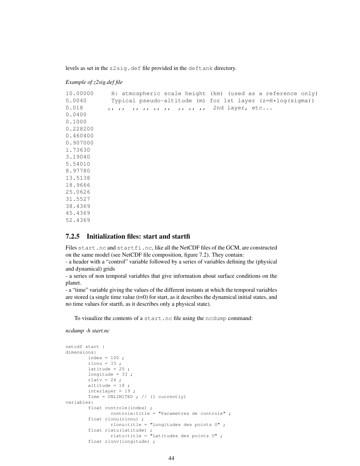levels as set in the z2sig.def file provided in the deftank directory.

### *Example of z2sig.def file*

```
10.00000 H: atmospheric scale height (km) (used as a reference only)
0.0040 Typical pseudo-altitude (m) for 1st layer (z=H*log(sigma))
0.018 ,, ,, ,, ,, ,, ,, ,, ,, ,, 2nd layer, etc...
0.0400
0.1000
0.228200
0.460400
0.907000
1.73630
3.19040
5.54010
8.97780
13.5138
18.9666
25.0626
31.5527
38.4369
45.4369
```

```
52.4369
```
### 7.2.5 Initialization files: start and startfi

Files start.nc and startfi.nc, like all the NetCDF files of the GCM, are constructed on the same model (see NetCDF file composition, figure 7.2). They contain:

- a header with a "control" variable followed by a series of variables defining the (physical and dynamical) grids

- a series of non temporal variables that give information about surface conditions on the planet.

- a "time" variable giving the values of the different instants at which the temporal variables are stored (a single time value  $(t=0)$  for start, as it describes the dynamical initial states, and no time values for startfi, as it describes only a physical state).

To visualize the contents of a start.nc file using the ncdump command:

*ncdump -h start.nc*

```
netcdf start {
dimensions:
       index = 100:
        rlonu = 33;
       latitude = 25;
       longitude = 33;
       rlatv = 24;
        altitude = 18 ;
        interlayer = 19 ;
       Time = UNLIMITED ; // (1 currently)
variables:
        float controle(index) ;
               controle:title = "Parametres de controle" ;
        float rlonu(rlonu) ;
               rlonu:title = "Longitudes des points U" ;
        float rlatu(latitude) ;
               rlatu:title = "Latitudes des points U" ;
        float rlonv(longitude) ;
```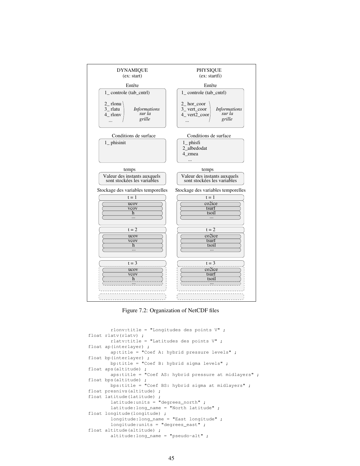

Figure 7.2: Organization of NetCDF files

```
rlonv:title = "Longitudes des points V" ;
float rlatv(rlatv) ;
        rlatv:title = "Latitudes des points V" ;
float ap(interlayer) ;
        ap:title = "Coef A: hybrid pressure levels" ;
float bp(interlayer) ;
        bp:title = "Coef B: hybrid sigma levels" ;
float aps(altitude) ;
       aps:title = "Coef AS: hybrid pressure at midlayers" ;
float bps(altitude) ;
       bps:title = "Coef BS: hybrid sigma at midlayers" ;
float presnivs(altitude) ;
float latitude(latitude) ;
        latitude:units = "degrees_north" ;
        latitude:long_name = "North latitude" ;
float longitude(longitude) ;
        longitude:long_name = "East longitude" ;
        longitude:units = "degrees_east" ;
float altitude(altitude) ;
        altitude:long_name = "pseudo-alt" ;
```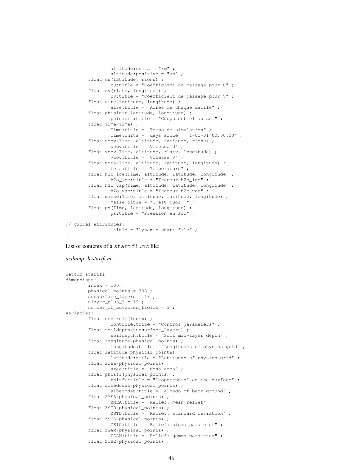```
altitude: units = "km";
               altitude:positive = "up" ;
       float cu(latitude, rlonu) ;
               cu:title = "Coefficient de passage pour U" ;
       float cv(rlatv, longitude) ;
               cv:title = "Coefficient de passage pour V" ;
       float aire(latitude, longitude) ;
               aire:title = "Aires de chaque maille" ;
       float phisinit(latitude, longitude) ;
               phisinit:title = "Geopotentiel au sol" ;
       float Time(Time) ;
               Time:title = "Temps de simulation" ;
               Time:units = "days since 1-01-01 00:00:00";
       float ucov(Time, altitude, latitude, rlonu) ;
               ucov:title = "Vitesse U" ;
       float vcov(Time, altitude, rlatv, longitude) ;
               vcov:title = "Vitesse V" ;
       float teta(Time, altitude, latitude, longitude) ;
               teta:title = "Temperature" ;
       float h2o_ice(Time, altitude, latitude, longitude) ;
               h2o_ice:title = "Traceur h2o_ice" ;
       float h2o_vap(Time, altitude, latitude, longitude) ;
               h2o_vap:title = "Traceur h2o_vap" ;
       float masse(Time, altitude, latitude, longitude) ;
               masse:title = "C est quoi ?" ;
       float ps(Time, latitude, longitude) ;
               ps:title = "Pression au sol" ;
// global attributes:
                :title = "Dynamic start file" ;
```

```
List of contents of a startfi.nc file:
```

```
ncdump -h startfi.nc
```
}

```
netcdf startfi {
dimensions:
       index = 100;
        physical_points = 738 ;
       subsurface_layers = 18 ;
       nlayer_plus_1 = 19 ;
        number_of_advected_fields = 3 ;
variables:
        float controle(index) ;
               controle:title = "Control parameters" ;
        float soildepth(subsurface_layers) ;
                soildepth:title = "Soil mid-layer depth" ;
        float longitude(physical_points) ;
                longitude:title = "Longitudes of physics grid" ;
        float latitude(physical_points) ;
                latitude:title = "Latitudes of physics grid" ;
        float area(physical_points) ;
                area:title = "Mesh area" ;
        float phisfi(physical_points) ;
                phisfi:title = "Geopotential at the surface" ;
        float albedodat(physical_points) ;
                albedodat:title = "Albedo of bare ground" ;
        float ZMEA(physical_points) ;
               ZMEA:title = "Relief: mean relief" ;
        float ZSTD(physical_points) ;
                ZSTD:title = "Relief: standard deviation" ;
        float ZSIG(physical_points) ;
                ZSIG:title = "Relief: sigma parameter" ;
        float ZGAM(physical_points) ;
                ZGAM:title = "Relief: gamma parameter" ;
        float ZTHE(physical points) ;
```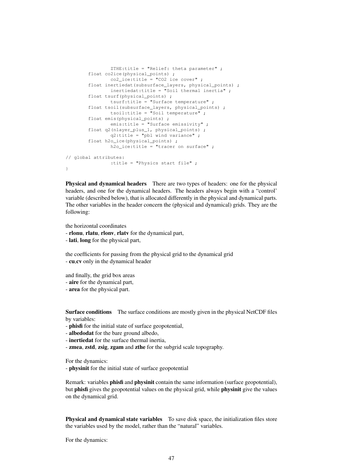```
ZTHE:title = "Relief: theta parameter" ;
       float co2ice(physical_points) ;
               co2 ice:title = "CO2 ice cover" ;
       float inertiedat(subsurface_layers, physical_points) ;
               inertiedat:title = "Soil thermal inertia" ;
       float tsurf(physical_points) ;
               tsurf:title = "Surface temperature" ;
       float tsoil(subsurface_layers, physical_points) ;
               tsoil:title = "Soil temperature" ;
       float emis(physical_points) ;
               emis:title = "Surface emissivity" ;
       float q2(nlayer_plus_1, physical_points) ;
               q2:title = "pbl wind variance" ;
       float h2o_ice(physical_points) ;
              h2o_ice:title = "tracer on surface" ;
// global attributes:
               :title = "Physics start file" ;
```
Physical and dynamical headers There are two types of headers: one for the physical headers, and one for the dynamical headers. The headers always begin with a "control' variable (described below), that is allocated differently in the physical and dynamical parts. The other variables in the header concern the (physical and dynamical) grids. They are the following:

the horizontal coordinates

}

- rlonu, rlatu, rlonv, rlatv for the dynamical part,
- lati, long for the physical part,

the coefficients for passing from the physical grid to the dynamical grid - cu,cv only in the dynamical header

and finally, the grid box areas

- aire for the dynamical part,
- area for the physical part.

Surface conditions The surface conditions are mostly given in the physical NetCDF files by variables:

- phisfi for the initial state of surface geopotential,

- albedodat for the bare ground albedo,
- inertiedat for the surface thermal inertia,
- zmea, zstd, zsig, zgam and zthe for the subgrid scale topography.

For the dynamics:

- physinit for the initial state of surface geopotential

Remark: variables phisfi and physinit contain the same information (surface geopotential), but phisfi gives the geopotential values on the physical grid, while physinit give the values on the dynamical grid.

Physical and dynamical state variables To save disk space, the initialization files store the variables used by the model, rather than the "natural" variables.

For the dynamics: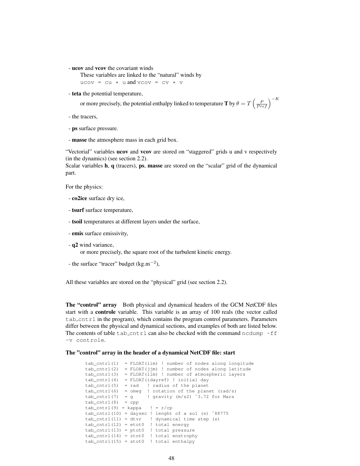- ucov and vcov the covariant winds

These variables are linked to the "natural" winds by ucov = cu  $*$  u and vcov = cv  $*$  v

- teta the potential temperature,

or more precisely, the potential enthalpy linked to temperature  $\mathbf T$  by  $\theta=T\left(\frac{P}{Pref}\right)^{-K}$ 

- the tracers,
- ps surface pressure.
- masse the atmosphere mass in each grid box.

"Vectorial" variables ucov and vcov are stored on "staggered" grids u and v respectively (in the dynamics) (see section 2.2).

Scalar variables h, q (tracers), ps, masse are stored on the "scalar" grid of the dynamical part.

For the physics:

- co2ice surface dry ice,
- tsurf surface temperature,
- tsoil temperatures at different layers under the surface,
- emis surface emissivity,
- q2 wind variance,

or more precisely, the square root of the turbulent kinetic energy.

- the surface "tracer" budget (kg.m<sup>−</sup><sup>2</sup> ),

All these variables are stored on the "physical" grid (see section 2.2).

The "control" array Both physical and dynamical headers of the GCM NetCDF files start with a controle variable. This variable is an array of 100 reals (the vector called  $\text{tab\_cntr1}$  in the program), which contains the program control parameters. Parameters differ between the physical and dynamical sections, and examples of both are listed below. The contents of table tab cntrl can also be checked with the command ncdump  $-ff$ -v controle.

### The "control" array in the header of a dynamical NetCDF file: start

tab\_cntrl(1) = FLOAT(iim) ! number of nodes along longitude tab\_cntrl(2) = FLOAT(jjm) ! number of nodes along latitude  $tab\_cntrl(3) = FLOAT(1lm)$  ! number of atmospheric layers tab\_cntrl(4) = FLOAT(idayref) ! initial day tab\_cntrl(5) = rad ! radius of the planet tab\_cntrl(6) = omeg ! rotation of the planet (rad/s)  $tab\_cntr1(7) = q$  ! gravity  $(m/s2)$  ~3.72 for Mars  $tab\_cntr1(8) = cpp$  $tab\_cntrl(9) = kappa$  ! =  $r/cp$  $tab\_cntrl(10) = daysec$  ! lenght of a sol (s) ~88775  $tab\_cntrl(11) = dtvr$  ! dynamical time step (s)  $tab{\_}cntr1(12) = etot0$  ! total energy  $tab\_cntrl(13) = ptot0$  ! total pressure tab\_cntrl(14) = ztot0 ! total enstrophy tab cntrl(15) = stot0 ! total enthalpy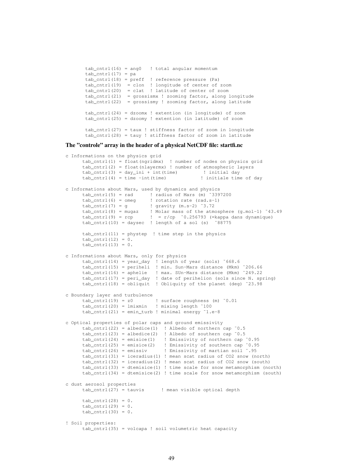```
tab\_cntrl(16) = ang0 ! total angular momentum
tab\_cntrl(17) = patab_cntrl(18) = preff ! reference pressure (Pa)
tab_cntrl(19) = clon ! longitude of center of zoom
tab_cntrl(20) = clat ! latitude of center of zoom
tab{\_}cntr1(21) = grossismx ! zooming factor, along longitude
tab_cntrl(22) = grossismy ! zooming factor, along latitude
tab_cntrl(24) = dzoomx ! extention (in longitude) of zoom
tab_cntrl(25) = dzoomy ! extention (in latitude) of zoom
tab_cntrl(27) = taux ! stiffness factor of zoom in longitude
tab_cntrl(28) = tauy ! stiffness factor of zoom in latitude
```
### The "controle" array in the header of a physical NetCDF file: startfi.nc

```
c Informations on the physics grid
      tab_cntrl(1) = float(ngridmx) ! number of nodes on physics grid
      tab_cntrl(2) = float(nlayermx) ! number of atmospheric layers
      tab_cntrl(3) = day_ini + int(time) ! initial day
      tab_cntrl(4) = time -int(time) ! initiale time of day
c Informations about Mars, used by dynamics and physics
      tab\_cntr1(5) = rad ! radius of Mars (m) ~3397200
      tab\_cntr1(6) = omeg ! rotation rate (rad.s-1)
     tab\_cntr1(7) = g ! gravity (m.s-2) ~3.72
      tab_cntrl(8) = mugaz ! Molar mass of the atmosphere (g.mol-1) ˜43.49
      tab\_cntr1(9) = rep ! = r/cp ~0.256793 (=kappa dans dynamique)
     tab\_cntr1(10) = daysec ! length of a sol (s) ~88775
     tab_cntrl(11) = phystep ! time step in the physics
     tab\_cntr1(12) = 0.tab\_cntr1(13) = 0.c Informations about Mars, only for physics
     tab_cntrl(14) = year_day ! length of year (sols) ˜668.6
      tab_cntrl(15) = periheli ! min. Sun-Mars distance (Mkm) ˜206.66
      tab_cntrl(16) = aphelie ! max. SUn-Mars distance (Mkm) ˜249.22
     tab{\_}cntr1(17) = peri{\_}day ! date of perihelion (sols since N. spring)
      tab_cntrl(18) = obliquit ! Obliquity of the planet (deg) ˜23.98
c Boundary layer and turbulence
     tab_cntrl(19) = z0 ! surface roughness (m) 0.01tab\_cntr1(20) = lminmin ! mixing length ~100
     tab\_cntrl(21) = emin\_turb ! minimal energy i.e-8c Optical properties of polar caps and ground emissivity
     tab\_cntr1(22) = albedice(1) ! Albedo of northern cap ~0.5
      tab{\_}cntr1(23) = albedice(2) ! Albedo of southern cap ~0.5
     tab_cntrl(24) = emisice(1) ! Emissivity of northern cap ˜0.95
     tab_cntrl(25) = emisice(2) ! Emissivity of southern cap ˜0.95
     tab\_cntr1(26) = emissiv ! Emissivity of martian soil ~.95
     tab_cntrl(31) = iceradius(1) ! mean scat radius of CO2 snow (north)
     tab{\_}cntrl(32) = iceradius(2) ! mean scat radius of CO2 snow (south)
     tab_cntrl(33) = dtemisice(1) ! time scale for snow metamorphism (north)
     tab_cntrl(34) = dtemisice(2) ! time scale for snow metamorphism (south)
c dust aerosol properties
     tab cntrl(27) = tauvis \qquad ! mean visible optical depth
     tab\_cntr1(28) = 0.tab\_cntr1(29) = 0.tab\_cntr1(30) = 0.! Soil properties:
     tab_cntrl(35) = volcapa ! soil volumetric heat capacity
```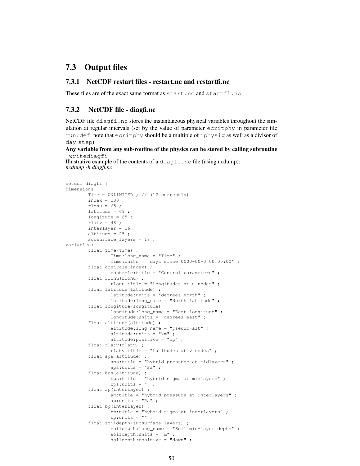## 7.3 Output files

### 7.3.1 NetCDF restart files - restart.nc and restartfi.nc

These files are of the exact same format as start.nc and startfi.nc

### 7.3.2 NetCDF file - diagfi.nc

NetCDF file diagfi.nc stores the instantaneous physical variables throughout the simulation at regular intervals (set by the value of parameter ecritphy in parameter file run.def; note that ecritphy should be a multiple of iphysiq as well as a divisor of day\_step).

### Any variable from any sub-routine of the physics can be stored by calling subroutine writediagfi

Illustrative example of the contents of a diagfi.nc file (using ncdump): *ncdump -h diagfi.nc*

```
netcdf diagfi {
dimensions:
       Time = UNLIMITED ; // (12 currently)
       index = 100;
       rlonu = 65;
        latitude = 49;
        longitude = 65 ;
       rlatv = 48;
       interlayer = 26 ;
       altitude = 25;
        subsurface_layers = 18 ;
variables:
        float Time(Time) ;
                Time:long_name = "Time" ;
                Time:units = "days since 0000-00-0 00:00:00" ;
        float controle(index) ;
                controle:title = "Control parameters" ;
        float rlonu(rlonu) ;
               rlonu:title = "Longitudes at u nodes" ;
        float latitude(latitude) ;
                latitude:units = "degrees_north" ;
                latitude:long_name = "North latitude" ;
        float longitude(longitude) ;
                longitude:long_name = "East longitude" ;
                longitude: units = "degrees_east" ;
        float altitude(altitude) ;
                altitude:long_name = "pseudo-alt" ;
                altitude:units = "km" ;
                altitude:positive = "up" ;
        float rlatv(rlatv) ;
                rlatv:title = "Latitudes at v nodes" ;
        float aps(altitude)
                aps:title = "hybrid pressure at midlayers" ;
                aps:units = "Pa" ;
        float bps(altitude) ;
                bps:title = "hybrid sigma at midlayers" ;
                bps:units = " " ;
        float ap(interlayer) ;
                ap:title = "hybrid pressure at interlayers" ;
                ap:units = "Pa" ;float bp(interlayer) ;
                bp:title = "hybrid sigma at interlayers" ;
                bp:units = "";
        float soildepth(subsurface_layers) ;
                soildepth:long_name = "Soil mid-layer depth" ;
                soildepth:units = \mathbb{m}";
                soildepth:positive = "down" ;
```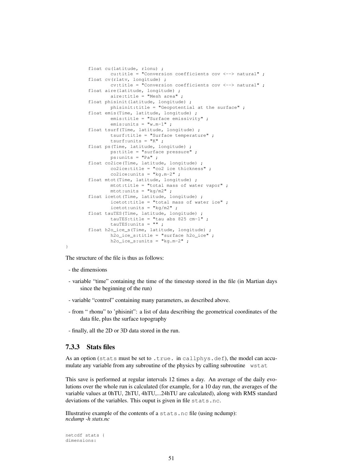```
float cu(latitude, rlonu) ;
       cu:title = "Conversion coefficients cov <--> natural" ;
float cv(rlatv, longitude) ;
       cv:title = "Conversion coefficients cov <--> natural" ;
float aire(latitude, longitude) ;
       aire:title = "Mesh area" ;
float phisinit(latitude, longitude) ;
       phisinit:title = "Geopotential at the surface" ;
float emis(Time, latitude, longitude) ;
       emis:title = "Surface emissivity" ;
       emis:units = "w.m-1" ;
float tsurf(Time, latitude, longitude) ;
       tsurf:title = "Surface temperature" ;
       tsurf: units = "K";
float ps(Time, latitude, longitude) ;
       ps:title = "surface pressure" ;
       ps:units = "Pa" ;
float co2ice(Time, latitude, longitude) ;
       co2ice:title = "co2 ice thickness" ;
       co2ice:units = "kg.m-2" ;
float mtot(Time, latitude, longitude) ;
       mtot:title = "total mass of water vapor" ;
       mtot:units = "kg/m2";
float icetot(Time, latitude, longitude) ;
        icetot:title = "total mass of water ice" ;
        icetot:units = "kg/m2" ;
float tauTES(Time, latitude, longitude) ;
       tauTES:title = "tau abs 825 cm-1" ;
        tauTES: units = " " ;
float h2o_ice_s(Time, latitude, longitude) ;
       h2o_ice_s:title = "surface h2o_ice" ;
       h2o\_ice\_s:units = "kg.m-2" ;
```
The structure of the file is thus as follows:

- the dimensions

}

- variable "time" containing the time of the timestep stored in the file (in Martian days since the beginning of the run)
- variable "control" containing many parameters, as described above.
- from " rhonu" to 'phisinit": a list of data describing the geometrical coordinates of the data file, plus the surface topography
- finally, all the 2D or 3D data stored in the run.

### 7.3.3 Stats files

As an option (stats must be set to .true. in callphys.def), the model can accumulate any variable from any subroutine of the physics by calling subroutine wstat

This save is performed at regular intervals 12 times a day. An average of the daily evolutions over the whole run is calculated (for example, for a 10 day run, the averages of the variable values at 0hTU, 2hTU, 4hTU,...24hTU are calculated), along with RMS standard deviations of the variables. This ouput is given in file stats.nc.

Illustrative example of the contents of a stats.nc file (using ncdump): *ncdump -h stats.nc*

```
netcdf stats {
dimensions:
```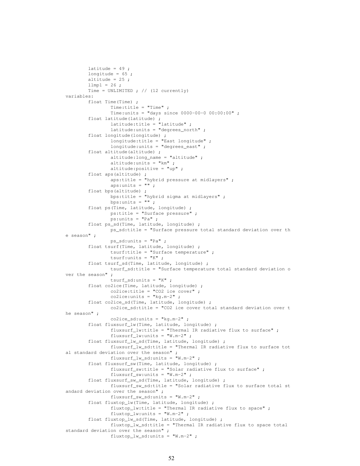```
latitude = 49;
        longitude = 65;
        altitude = 25;
        11mp1 = 26;
        Time = UNLIMITED ; // (12 currently)
variables:
        float Time(Time) ;
                Time:title = "Time" ;
                Time:units = "days since 0000-00-0 00:00:00";
        float latitude(latitude) ;
                latitude:title = "latitude" ;
                latitude:units = "degrees_north" ;
        float longitude(longitude) ;
                longitude:title = "East longitude" ;
                longitude:units = "degrees_east" ;
        float altitude(altitude) ;
                altitude:long_name = "altitude" ;
                altitude:units = "km" ;
                altitude:positive = "up" ;
        float aps(altitude) ;
                aps:title = "hybrid pressure at midlayers" ;
                aps:units = " " ;float bps(altitude) ;
                bps:title = "hybrid sigma at midlayers" ;
                bps:units = " ";
        float ps(Time, latitude, longitude) ;
                ps:title = "Surface pressure" ;
                ps:units = "Pa" ;
        float ps_sd(Time, latitude, longitude) ;
                ps_sd:title = "Surface pressure total standard deviation over th
e season" ;
                ps_sd:units = "Pa" ;
        float tsurf(Time, latitude, longitude) ;
                tsurf:title = "Surface temperature" ;
                tsurf:units = "K" ;
        float tsurf_sd(Time, latitude, longitude) ;
               tsurf_sd:title = "Surface temperature total standard deviation o
ver the season" ;
                tsurf_sd:units = "K" ;
        float co2ice(Time, latitude, longitude) ;
                co2ice:title = "CO2 ice cover" ;
                co2ice:units = "kg.m-2" ;
        float co2ice_sd(Time, latitude, longitude) ;
                co2ice_sd:title = "CO2 ice cover total standard deviation over t
he season" ;
                co2ice sd:units = "kg.m-2" ;
        float fluxsurf_lw(Time, latitude, longitude) ;
                fluxsurf_lw:title = "Thermal IR radiative flux to surface" ;
                fluxsurf_lw:units = "W.m-2" ;
        float fluxsurf_lw_sd(Time, latitude, longitude) ;
                fluxsurf_lw_sd:title = "Thermal IR radiative flux to surface tot
al standard deviation over the season" ;
                fluxsurf_lw_sd:units = "W.m-2" ;
        float fluxsurf sw(Time, latitude, longitude) ;
                fluxsurf_sw:title = "Solar radiative flux to surface" ;
                fluxsurf_sw:units = "W.m-2" ;
        float fluxsurf_sw_sd(Time, latitude, longitude) ;
                fluxsurf_sw_sd:title = "Solar radiative flux to surface total st
andard deviation over the season" ;
                fluxsurf_sw_sd:units = "W.m-2" ;
        float fluxtop_lw(Time, latitude, longitude) ;
                fluxtop_lw:title = "Thermal IR radiative flux to space" ;
                fluxtop_lw:units = \sqrt[m]{w} \cdot m-2,
        float fluxtop_lw_sd(Time, latitude, longitude) ;
                fluxtop_lw_sd:title = "Thermal IR radiative flux to space total
standard deviation over the season" ;
                fluxtop_lw_sd:units = "W.m-2" ;
```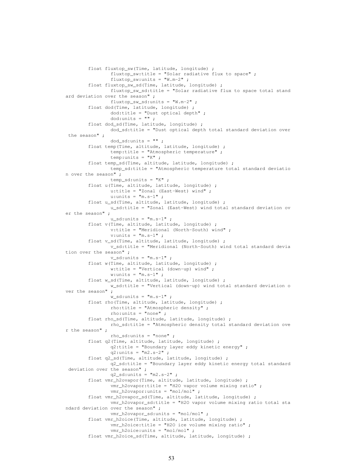```
float fluxtop_sw(Time, latitude, longitude) ;
                fluxtop_sw:title = "Solar radiative flux to space" ;
                fluxtop_sw:units = ^{\prime\prime\prime}W.m-2" ;
        float fluxtop_sw_sd(Time, latitude, longitude) ;
                fluxtop_sw_sd:title = "Solar radiative flux to space total stand
ard deviation over the season" ;
                fluxtop_sw_sd:units = "W.m-2" ;
        float dod(Time, latitude, longitude) ;
                dod:title = "Dust optical depth" ;
                dod:units = "";
        float dod_sd(Time, latitude, longitude) ;
                dod_sd:title = "Dust optical depth total standard deviation over
 the season" ;
                dod_sd:units = "";
        float temp(Time, altitude, latitude, longitude) ;
                temp:title = "Atmospheric temperature" ;
                temp: units = "K" ;
        float temp_sd(Time, altitude, latitude, longitude) ;
                temp_sd:title = "Atmospheric temperature total standard deviatio
n over the season" ;
                temp_sd:units = "K" ;
        float u(Time, altitude, latitude, longitude) ;
                u:title = "Zonal (East-West) wind" ;
                u:units = \mathbf{m} \cdot \mathbf{s} - \mathbf{1} \mathbf{m};
        float u sd(Time, altitude, latitude, longitude) ;
                u_sd:title = "Zonal (East-West) wind total standard deviation ov
er the season" ;
                u_sd:units = "m.s-1";
        float v(Time, altitude, latitude, longitude) ;
                v:title = "Meridional (North-South) wind" ;
                v:units = "m.s-1";
        float v_sd(Time, altitude, latitude, longitude) ;
                v_sd:title = "Meridional (North-South) wind total standard devia
tion over the season" ;
                v sd:units = m.s-1" ;
        float w(Time, altitude, latitude, longitude) ;
                w:title = "Vertical (down-up) wind" ;
                w:units = "m.s-1";
        float w_sd(Time, altitude, latitude, longitude) ;
                w_sd:title = "Vertical (down-up) wind total standard deviation o
ver the season" ;
                w_sd:units = "m.s-1";
        float rho(Time, altitude, latitude, longitude) ;
                rho:title = "Atmospheric density" ;
                rho:units = "none" ;
        float rho sd(Time, altitude, latitude, longitude) ;
                rho_sd:title = "Atmospheric density total standard deviation ove
r the season" ;
                rho_sd:units = "none" ;
        float q2(Time, altitude, latitude, longitude) ;
                q2:title = "Boundary layer eddy kinetic energy" ;
                q2:units = "m2.s-2";
        float q2_sd(Time, altitude, latitude, longitude) ;
                q2_sd:title = "Boundary layer eddy kinetic energy total standard
 deviation over the season" ;
                q2 sd:units = "m2.s-2" ;
        float vmr_h2ovapor(Time, altitude, latitude, longitude) ;
                vmr_h2ovapor:title = "H2O vapor volume mixing ratio" ;
                vmr_h2ovapor:units = "mol/mol" ;
        float vmr_h2ovapor_sd(Time, altitude, latitude, longitude) ;
                vmr_h2ovapor_sd:title = "H2O vapor volume mixing ratio total sta
ndard deviation over the season" ;
                vmr_h2ovapor_sd:units = "mol/mol" ;
        float vmr_h2oice(Time, altitude, latitude, longitude) ;
                vmr_h2oice:title = "H2O ice volume mixing ratio" ;
                vmr_h2oice:units = "mol/mol" ;
        float vmr_h2oice_sd(Time, altitude, latitude, longitude) ;
```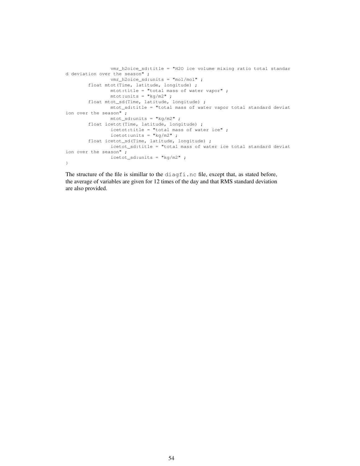```
vmr_h2oice_sd:title = "H2O ice volume mixing ratio total standar
d deviation over the season" ;
               vmr_h2oice_sd:units = "mol/mol" ;
        float mtot(Time, latitude, longitude) ;
               mtot:title = "total mass of water vapor" ;
                mtot:units = "kg/m2";
        float mtot_sd(Time, latitude, longitude) ;
               mtot_sd:title = "total mass of water vapor total standard deviat
ion over the season" ;
               mtot_sd:units = "kg/m2" ;
        float icetot(Time, latitude, longitude) ;
               icetot:title = "total mass of water ice" ;
               icetot:units = "kg/m2" ;
        float icetot_sd(Time, latitude, longitude) ;
               icetot_sd:title = "total mass of water ice total standard deviat
ion over the season" ;
               icetot_sd:units = "kg/m2";
}
```
The structure of the file is simillar to the diagfi.nc file, except that, as stated before, the average of variables are given for 12 times of the day and that RMS standard deviation are also provided.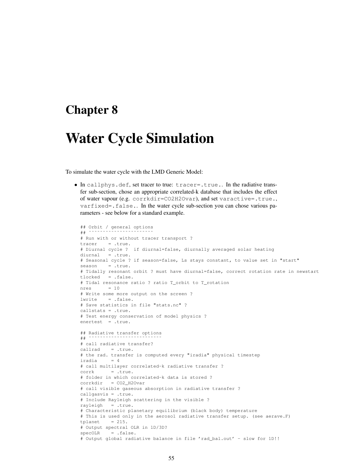## Chapter 8

# Water Cycle Simulation

To simulate the water cycle with the LMD Generic Model:

• In callphys.def, set tracer to true: tracer=.true.. In the radiative transfer sub-section, chose an appropriate correlated-k database that includes the effect of water vapour (e.g. corrkdir=CO2H2Ovar), and set varactive=.true., varfixed=.false.. In the water cycle sub-section you can chose various parameters - see below for a standard example.

```
## Orbit / general options
## ˜˜˜˜˜˜˜˜˜˜˜˜˜˜˜˜˜˜˜˜˜˜˜
# Run with or without tracer transport ?
tracer = .true.
# Diurnal cycle ? if diurnal=false, diurnally averaged solar heating
diurnal = .true.
# Seasonal cycle ? if season=false, Ls stays constant, to value set in "start"
season = true.# Tidally resonant orbit ? must have diurnal=false, correct rotation rate in newstart
tlocked = .false.
# Tidal resonance ratio ? ratio T_orbit to T_rotation
nres = 10# Write some more output on the screen ?
lwrite = .false.
# Save statistics in file "stats.nc" ?
callstats = .true.
# Test energy conservation of model physics ?
enertest = .true.
## Radiative transfer options
## ˜˜˜˜˜˜˜˜˜˜˜˜˜˜˜˜˜˜˜˜˜˜˜˜˜˜
# call radiative transfer?
callrad = .true.
# the rad. transfer is computed every "iradia" physical timestep
iradia = 4
# call multilayer correlated-k radiative transfer ?
corrk = .true.# folder in which correlated-k data is stored ?
corrkdir = CO2_H2Ovar
# call visible gaseous absorption in radiative transfer ?
callgasvis = .true.
# Include Rayleigh scattering in the visible ?
rayleigh = .true.
# Characteristic planetary equilibrium (black body) temperature
# This is used only in the aerosol radiative transfer setup. (see aerave.F)
tplanet = 215.# Output spectral OLR in 1D/3D?
specOLR = .false.# Output global radiative balance in file 'rad bal.out' - slow for 1D!!
```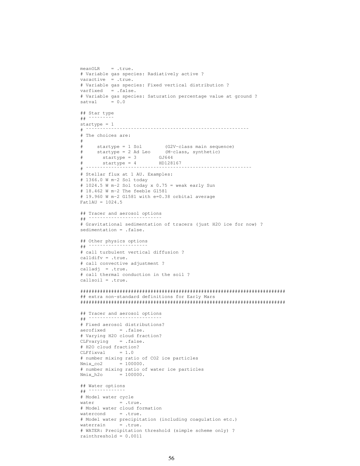```
meanOLR = .true.
# Variable gas species: Radiatively active ?
varactive = .true.
# Variable gas species: Fixed vertical distribution ?
varfixed = .false.
# Variable gas species: Saturation percentage value at ground ?
satval = 0.0## Star type
## ˜˜˜˜˜˜˜˜˜
startype = 1
# ˜˜˜˜˜˜˜˜˜˜˜˜˜˜˜˜˜˜˜˜˜˜˜˜˜˜˜˜˜˜˜˜˜˜˜˜˜˜˜˜˜˜˜˜˜˜˜˜˜˜˜˜˜˜˜˜˜˜
# The choices are:
#
# startype = 1 Sol (G2V-class main sequence)
# startype = 2 Ad Leo (M-class, synthetic)
# startype = 3 GJ644
# startype = 4 HD128167
# ˜˜˜˜˜˜˜˜˜˜˜˜˜˜˜˜˜˜˜˜˜˜˜˜˜˜˜˜˜˜˜˜˜˜˜˜˜˜˜˜˜˜˜˜˜˜˜˜˜˜˜˜˜˜˜˜˜˜˜
# Stellar flux at 1 AU. Examples:
# 1366.0 W m-2 Sol today
# 1024.5 W m-2 Sol today x 0.75 = weak early Sun# 18.462 W m-2 The feeble Gl581
# 19.960 W m-2 Gl581 with e=0.38 orbital average
Fat1AU = 1024.5## Tracer and aerosol options
## ˜˜˜˜˜˜˜˜˜˜˜˜˜˜˜˜˜˜˜˜˜˜˜˜˜˜
# Gravitational sedimentation of tracers (just H2O ice for now) ?
sedimentation = .false.
## Other physics options
## ˜˜˜˜˜˜˜˜˜˜˜˜˜˜˜˜˜˜˜˜˜
# call turbulent vertical diffusion ?
calldifv = .true.
# call convective adjustment ?
calladj = .true.
# call thermal conduction in the soil ?
callsoil = .true.
#########################################################################
## extra non-standard definitions for Early Mars
#########################################################################
## Tracer and aerosol options
# ^{\star}# Fixed aerosol distributions?
aerofixed = .false.
# Varying H2O cloud fraction?
CLFvarying = .false.
# H2O cloud fraction?
CLFfixval = 1.0# number mixing ratio of CO2 ice particles
Nmix co2 = 100000.
# number mixing ratio of water ice particles
Nmix_h2o = 100000.## Water options
## ˜˜˜˜˜˜˜˜˜˜˜˜˜
# Model water cycle
water = .true.
# Model water cloud formation
watercond = .true.
# Model water precipitation (including coagulation etc.)
waterrain = .true.
# WATER: Precipitation threshold (simple scheme only) ?
rainthreshold = 0.0011
```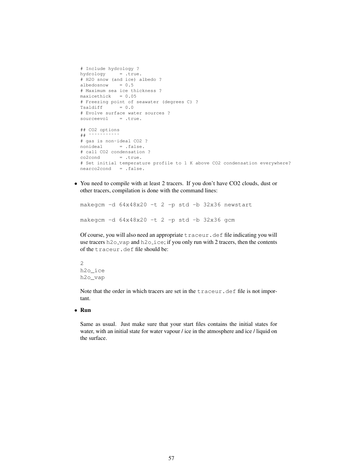```
# Include hydrology ?
hydrology = .true.
# H2O snow (and ice) albedo ?
albedosnow = 0.5
# Maximum sea ice thickness ?
maxicethick = 0.05# Freezing point of seawater (degrees C) ?
Tsaldiff = 0.0# Evolve surface water sources ?
sourceevol = .true.
## CO2 options
## ˜˜˜˜˜˜˜˜˜˜˜
# gas is non-ideal CO2 ?
nonideal =.false.
# call CO2 condensation ?
co2cond = .true.# Set initial temperature profile to 1 K above CO2 condensation everywhere?
nearco2cond = .false.
```
• You need to compile with at least 2 tracers. If you don't have CO2 clouds, dust or other tracers, compilation is done with the command lines:

```
makegcm -d 64x48x20 -t 2 -p std -b 32x36 newstart
makegcm -d 64x48x20 -t 2 -p std -b 32x36 gcm
```
Of course, you will also need an appropriate traceur.def file indicating you will use tracers h2o\_vap and h2o\_ice; if you only run with 2 tracers, then the contents of the traceur.def file should be:

2 h2o\_ice h2o\_vap

Note that the order in which tracers are set in the traceur.def file is not important.

• Run

Same as usual. Just make sure that your start files contains the initial states for water, with an initial state for water vapour / ice in the atmosphere and ice / liquid on the surface.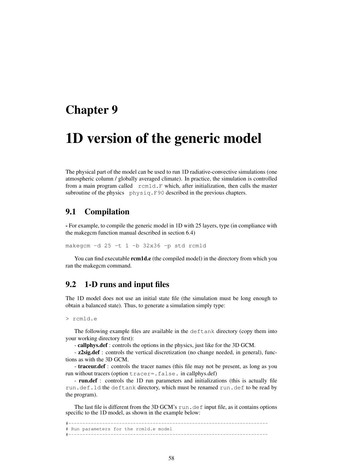## Chapter 9

# 1D version of the generic model

The physical part of the model can be used to run 1D radiative-convective simulations (one atmospheric column / globally averaged climate). In practice, the simulation is controlled from a main program called rcm1d.F which, after initialization, then calls the master subroutine of the physics physiq.F90 described in the previous chapters.

## 9.1 Compilation

- For example, to compile the generic model in 1D with 25 layers, type (in compliance with the makegcm function manual described in section 6.4)

makegcm -d 25 -t 1 -b 32x36 -p std rcm1d

You can find executable **rcm1d.e** (the compiled model) in the directory from which you ran the makegcm command.

## 9.2 1-D runs and input files

The 1D model does not use an initial state file (the simulation must be long enough to obtain a balanced state). Thus, to generate a simulation simply type:

```
> rcm1d.e
```
The following example files are available in the deftank directory (copy them into your working directory first):

- callphys.def : controls the options in the physics, just like for the 3D GCM.

- **z2sig.def** : controls the vertical discretization (no change needed, in general), functions as with the 3D GCM.

- traceur.def : controls the tracer names (this file may not be present, as long as you run without tracers (option tracer=.false. in callphys.def)

- run.def : controls the 1D run parameters and initializations (this is actually file run.def.1d the deftank directory, which must be renamed run.def to be read by the program).

The last file is different from the 3D GCM's  $run$ . definput file, as it contains options specific to the 1D model, as shown in the example below:

#----------------------------------------------------------------------- # Run parameters for the rcm1d.e model #-----------------------------------------------------------------------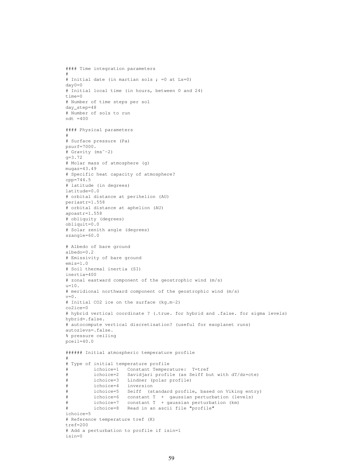```
#### Time integration parameters
#
# Initial date (in martian sols ; =0 at Ls=0)
day0=0
# Initial local time (in hours, between 0 and 24)
time=0
# Number of time steps per sol
day_step=48
# Number of sols to run
ndt =400#### Physical parameters
#
# Surface pressure (Pa)
psurf=7000.
# Gravity (msˆ-2)
\alpha = 3.72# Molar mass of atmosphere (g)
mugaz=43.49
# Specific heat capacity of atmosphere?
cpp=744.5
# latitude (in degrees)
latitude=0.0
# orbital distance at perihelion (AU)
periastr=1.558
# orbital distance at aphelion (AU)
apoastr=1.558
# obliquity (degrees)
obliquit=0.0
# Solar zenith angle (degrees)
szangle=60.0
# Albedo of bare ground
albedo=0.2
# Emissivity of bare ground
emis=1.0
# Soil thermal inertia (SI)
inertia=400
# zonal eastward component of the geostrophic wind (m/s)
u=10.
# meridional northward component of the geostrophic wind (m/s)
v=0.
# Initial CO2 ice on the surface (kg.m-2)
co2ice=0
# hybrid vertical coordinate ? (.true. for hybrid and .false. for sigma levels)
hybrid=.false.
# autocompute vertical discretisation? (useful for exoplanet runs)
autozlevs=.false.
% pressure ceiling
pceil=40.0
###### Initial atmospheric temperature profile
#
# Type of initial temperature profile
          # ichoice=1 Constant Temperature: T=tref
          ichoice=2 Savidjari profile (as Seiff but with dT/dz=cte)
         ichoice=3 Lindner (polar profile)
         ichoice=4 inversion
          ichoice=5 Seiff (standard profile, based on Viking entry)
# ichoice=6 constant T + gaussian perturbation (levels)
# ichoice=7 constant T + gaussian perturbation (km)
          ichoice=8 Read in an ascii file "profile"
ichoice=5
# Reference temperature tref (K)
tref=200# Add a perturbation to profile if isin=1
isin=0
```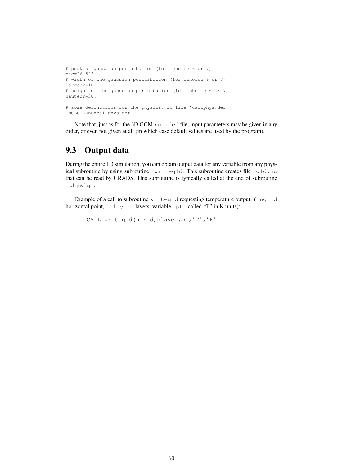```
# peak of gaussian perturbation (for ichoice=6 or 7)
pic=26.522
# width of the gaussian perturbation (for ichoice=6 or 7)
largeur=10
# height of the gaussian perturbation (for ichoice=6 or 7)
hauteur=30.
# some definitions for the physics, in file 'callphys.def'
INCLUDEDEF=callphys.def
```
Note that, just as for the 3D GCM run.def file, input parameters may be given in any order, or even not given at all (in which case default values are used by the program).

## 9.3 Output data

During the entire 1D simulation, you can obtain output data for any variable from any physical subroutine by using subroutine writeg1d. This subroutine creates file g1d.nc that can be read by GRADS. This subroutine is typically called at the end of subroutine physiq .

Example of a call to subroutine writeg1d requesting temperature output: ( ngrid horizontal point, nlayer layers, variable pt called "T" in K units):

```
CALL writeg1d(ngrid,nlayer,pt,'T','K')
```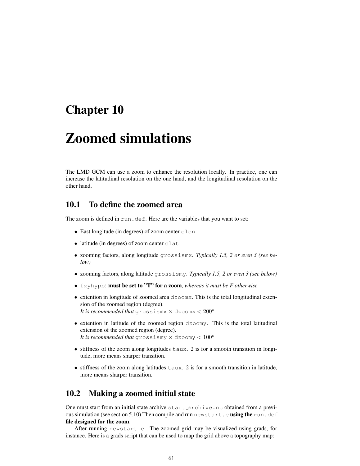# Chapter 10

# Zoomed simulations

The LMD GCM can use a zoom to enhance the resolution locally. In practice, one can increase the latitudinal resolution on the one hand, and the longitudinal resolution on the other hand.

## 10.1 To define the zoomed area

The zoom is defined in run.def. Here are the variables that you want to set:

- East longitude (in degrees) of zoom center clon
- latitude (in degrees) of zoom center clat
- zooming factors, along longitude grossismx. *Typically 1.5, 2 or even 3 (see below)*
- zooming factors, along latitude grossismy. *Typically 1.5, 2 or even 3 (see below)*
- fxyhypb: must be set to "T" for a zoom*, whereas it must be F otherwise*
- extention in longitude of zoomed area dzoomx. This is the total longitudinal extension of the zoomed region (degree). *It is recommended that* grossismx  $\times$  dzoomx  $<$   $200^o$
- extention in latitude of the zoomed region dzoomy. This is the total latitudinal extension of the zoomed region (degree). *It is recommended that* grossismy  $\times$  dzoomy  $< 100^\circ$
- stiffness of the zoom along longitudes taux. 2 is for a smooth transition in longitude, more means sharper transition.
- $\bullet$  stiffness of the zoom along latitudes  $\tan x$ . 2 is for a smooth transition in latitude, more means sharper transition.

## 10.2 Making a zoomed initial state

One must start from an initial state archive start archive.nc obtained from a previous simulation (see section 5.10) Then compile and run newstart.e using the run.def file designed for the zoom.

After running newstart.e. The zoomed grid may be visualized using grads, for instance. Here is a grads script that can be used to map the grid above a topography map: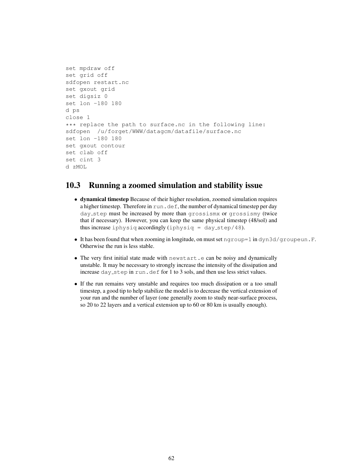```
set mpdraw off
set grid off
sdfopen restart.nc
set gxout grid
set digsiz 0
set lon -180 180
d ps
close 1
*** replace the path to surface.nc in the following line:
sdfopen /u/forget/WWW/datagcm/datafile/surface.nc
set lon -180 180
set gxout contour
set clab off
set cint 3
d zMOL
```
## 10.3 Running a zoomed simulation and stability issue

- dynamical timestep Because of their higher resolution, zoomed simulation requires a higher timestep. Therefore in run,  $\det f$ , the number of dynamical timestep per day day step must be increased by more than grossismx or grossismy (twice that if necessary). However, you can keep the same physical timestep (48/sol) and thus increase iphysiq accordingly (iphysiq = day\_step/48).
- It has been found that when zooming in longitude, on must set  $nqroup=1$  in  $dyn3d/qroupeun.F.$ Otherwise the run is less stable.
- The very first initial state made with newstart.e can be noisy and dynamically unstable. It may be necessary to strongly increase the intensity of the dissipation and increase day step in run.def for 1 to 3 sols, and then use less strict values.
- If the run remains very unstable and requires too much dissipation or a too small timestep, a good tip to help stabilize the model is to decrease the vertical extension of your run and the number of layer (one generally zoom to study near-surface process, so 20 to 22 layers and a vertical extension up to 60 or 80 km is usually enough).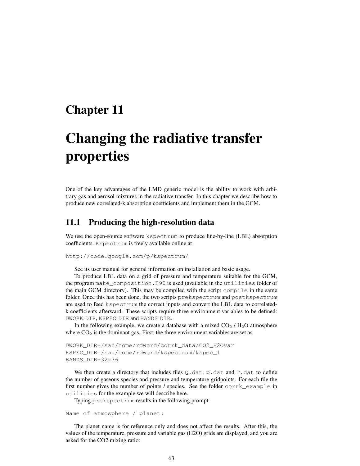# Chapter 11

# Changing the radiative transfer properties

One of the key advantages of the LMD generic model is the ability to work with arbitrary gas and aerosol mixtures in the radiative transfer. In this chapter we describe how to produce new correlated-k absorption coefficients and implement them in the GCM.

### 11.1 Producing the high-resolution data

We use the open-source software kspectrum to produce line-by-line (LBL) absorption coefficients. Kspectrum is freely available online at

```
http://code.google.com/p/kspectrum/
```
See its user manual for general information on installation and basic usage.

To produce LBL data on a grid of pressure and temperature suitable for the GCM, the program make\_composition.F90 is used (available in the utilities folder of the main GCM directory). This may be compiled with the script compile in the same folder. Once this has been done, the two scripts prekspectrum and postkspectrum are used to feed kspectrum the correct inputs and convert the LBL data to correlatedk coefficients afterward. These scripts require three environment variables to be defined: DWORK\_DIR, KSPEC\_DIR and BANDS\_DIR.

In the following example, we create a database with a mixed  $CO<sub>2</sub> / H<sub>2</sub>O$  atmosphere where  $CO<sub>2</sub>$  is the dominant gas. First, the three environment variables are set as

```
DWORK_DIR=/san/home/rdword/corrk_data/CO2_H2Ovar
KSPEC_DIR=/san/home/rdword/kspectrum/kspec_1
BANDS_DIR=32x36
```
We then create a directory that includes files  $Q$ .dat, p.dat and T.dat to define the number of gaseous species and pressure and temperature gridpoints. For each file the first number gives the number of points / species. See the folder corrk\_example in utilities for the example we will describe here.

Typing prekspectrum results in the following prompt:

```
Name of atmosphere / planet:
```
The planet name is for reference only and does not affect the results. After this, the values of the temperature, pressure and variable gas (H2O) grids are displayed, and you are asked for the CO2 mixing ratio: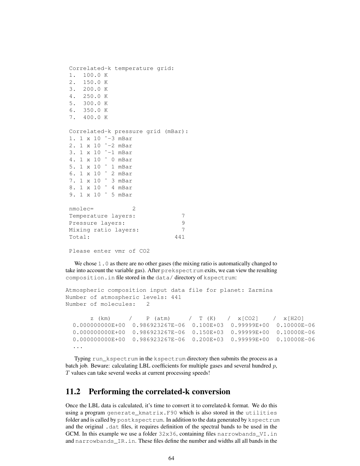```
Correlated-k temperature grid:
1. 100.0 K
2. 150.0 K
3. 200.0 K
4. 250.0 K
5. 300.0 K
6. 350.0 K
7. 400.0 K
Correlated-k pressure grid (mBar):
1. 1 x 10 ˆ-3 mBar
2. 1 x 10 ˆ-2 mBar
3. 1 x 10 ˆ-1 mBar
4. 1 x 10 ˆ 0 mBar
5. 1 x 10 ˆ 1 mBar
6. 1 x 10 ˆ 2 mBar
7. 1 x 10 ˆ 3 mBar
8. 1 x 10 ˆ 4 mBar
9. 1 x 10 \degree 5 mBar
nmolec= 2
Temperature layers: 7
Pressure layers: 9
Mixing ratio layers: 7
Total: 441
```

```
Please enter vmr of CO2
```
We chose 1.0 as there are no other gases (the mixing ratio is automatically changed to take into account the variable gas). After prekspectrum exits, we can view the resulting composition.in file stored in the data/ directory of kspectrum:

```
Atmospheric composition input data file for planet: Zarmina
Number of atmospheric levels: 441
Number of molecules: 2
```

```
z (km) / P (atm) / T (K) / x[CO2] / x[H2O]
0.000000000E+00 0.986923267E-06 0.100E+03 0.99999E+00 0.10000E-06
0.000000000E+00 0.986923267E-06 0.150E+03 0.99999E+00 0.10000E-06
0.000000000E+00 0.986923267E-06 0.200E+03 0.99999E+00 0.10000E-06
...
```
Typing run\_kspectrum in the kspectrum directory then submits the process as a batch job. Beware: calculating LBL coefficients for multiple gases and several hundred  $p$ , T values can take several weeks at current processing speeds!

## 11.2 Performing the correlated-k conversion

Once the LBL data is calculated, it's time to convert it to correlated-k format. We do this using a program generate\_kmatrix.F90 which is also stored in the utilities folder and is called by postkspectrum. In addition to the data generated by kspectrum and the original .dat files, it requires definition of the spectral bands to be used in the GCM. In this example we use a folder 32x36, containing files narrowbands\_VI.in and narrowbands\_IR.in. These files define the number and widths all all bands in the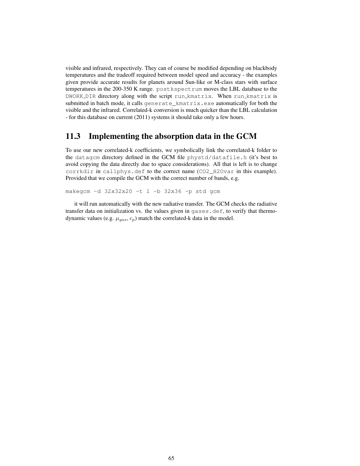visible and infrared, respectively. They can of course be modified depending on blackbody temperatures and the tradeoff required between model speed and accuracy - the examples given provide accurate results for planets around Sun-like or M-class stars with surface temperatures in the 200-350 K range. postkspectrum moves the LBL database to the DWORK DIR directory along with the script run kmatrix. When run kmatrix is submitted in batch mode, it calls generate\_kmatrix.exe automatically for both the visible and the infrared. Correlated-k conversion is much quicker than the LBL calculation - for this database on current (2011) systems it should take only a few hours.

## 11.3 Implementing the absorption data in the GCM

To use our new correlated-k coefficients, we symbolically link the correlated-k folder to the datagcm directory defined in the GCM file phystd/datafile.h (it's best to avoid copying the data directly due to space considerations). All that is left is to change corrkdir in callphys.def to the correct name (CO2\_H2Ovar in this example). Provided that we compile the GCM with the correct number of bands, e.g.

makegcm -d 32x32x20 -t 1 -b 32x36 -p std gcm

it will run automatically with the new radiative transfer. The GCM checks the radiative transfer data on initialization vs. the values given in gases.def, to verify that thermodynamic values (e.g.  $\mu_{gas}, c_p$ ) match the correlated-k data in the model.